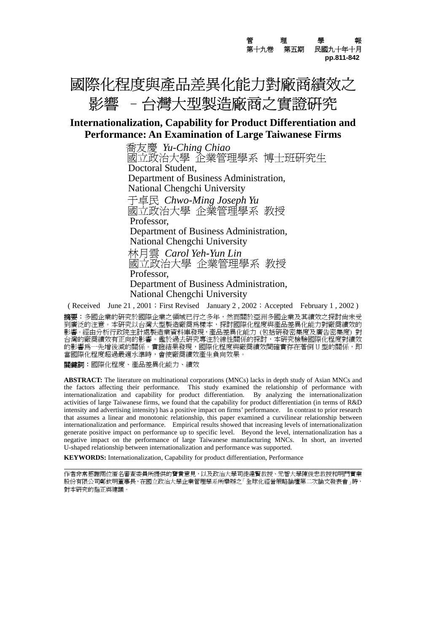**管** 管 理 學 報 第十九卷第五期民國九十年十月  **pp.811-842**

# 國際化程度與產品差異化能力對廠商績效之 影響 -台灣大型製造廠商之實證研究

### **Internationalization, Capability for Product Differentiation and Performance: An Examination of Large Taiwanese Firms**

 喬友慶 *Yu-Ching Chiao* 國立政治大學 企業管理學系 博士班研究生 Doctoral Student, Department of Business Administration, National Chengchi University 于卓民 *Chwo-Ming Joseph Yu* 國立政治大學 企業管理學系 教授 Professor, Department of Business Administration, National Chengchi University 林月雲 *Carol Yeh-Yun Lin*  國立政治大學 企業管理學系 教授 Professor, Department of Business Administration, National Chengchi University

( Received June 21, 2001; First Revised January 2, 2002; Accepted February 1, 2002)

**摘要**:多國企業的研究於國際企業之領域已行之多年,然而關於亞洲多國企業及其績效之探討尚未受 到廣泛的注意。本研究以台灣大型製造廠商為樣本,探討國際化程度與產品差異化能力對廠商績效的 影響。經由分析行政院主計處製造業資料庫發現,產品差異化能力 (包括研發密集度及廣告密集度) 對 台灣的廠商績效有正向的影響。鑑於過去研究專注於線性關係的探討,本研究檢驗國際化程度對績效 。<br>的影響為一先增後減的關係。實證結果發現,國際化程度與廠商績效間確實存在著倒 U 型的關係,即 當國際化程度超過最適水準時,會使廠商績效產生負向效果。

關鍵詞:國際化程度、產品差異化能力、績效

 $\overline{a}$ 

**ABSTRACT:** The literature on multinational corporations (MNCs) lacks in depth study of Asian MNCs and the factors affecting their performance. This study examined the relationship of performance with internationalization and capability for product differentiation. By analyzing the internationalization activities of large Taiwanese firms, we found that the capability for product differentiation (in terms of R&D intensity and advertising intensity) has a positive impact on firms' performance. In contrast to prior research that assumes a linear and monotonic relationship, this paper examined a curvilinear relationship between internationalization and performance. Empirical results showed that increasing levels of internationalization generate positive impact on performance up to specific level. Beyond the level, internationalization has a negative impact on the performance of large Taiwanese manufacturing MNCs. In short, an inverted U-shaped relationship between internationalization and performance was supported.

**KEYWORDS:** Internationalization, Capability for product differentiation, Performance

作者非常感謝兩位匿名審查委員所提供的寶貴意見,以及政治大學司徒達賢教授、元智大學陳俊忠教授和明門實業 股份有限公司鄭欽明董事長,在國立政治大學企業管理學系所舉辦之「全球化經營策略論壇第二次論文發表會」時, 對本研究的指正與建議。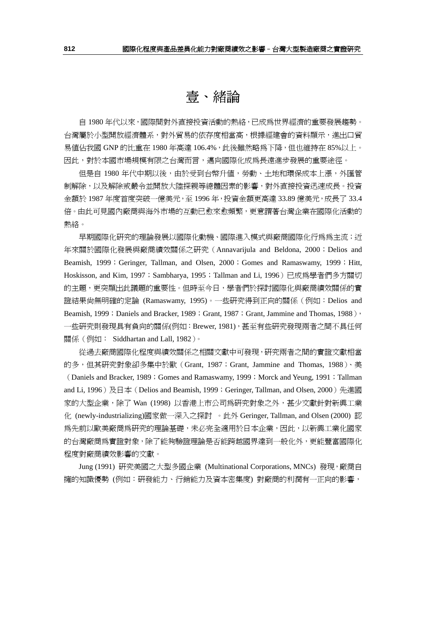## 壹、緒論

自 1980 年代以來,國際間對外直接投資活動的熱絡,已成為世界經濟的重要發展趨勢。 台灣屬於小型開放經濟體系,對外貿易的依存度相當高,根據經建會的資料顯示,進出口貿 易値佔我國 GNP 的比重在 1980 年高達 106.4%,此後雖然略爲下降,但也維持在 85%以上。 因此,對於本國市場規模有限之台灣而言,邁向國際化成為長遠進步發展的重要途徑。

但是自 1980 年代中期以後,由於受到台幣升值,勞動、土地和環保成本上漲,外匯管 制解除,以及解除戒嚴令並開放大陸探親等總體因素的影響,對外直接投資迅速成長。投資 金額於 1987 年度首度突破一億美元,至 1996 年,投資金額更高達 33.89 億美元,成長了 33.4 倍。由此可見國內廠商與海外市場的互動已愈來愈頻繁,更意謂著台灣企業在國際化活動的 熱絡。

早期國際化研究的理論發展以國際化動機、國際進入模式與廠商國際化行為為主流;近 年來關於國際化發展與廠商績效關係之研究(Annavarijula and Beldona, 2000;Delios and Beamish, 1999; Geringer, Tallman, and Olsen, 2000; Gomes and Ramaswamy, 1999; Hitt, Hoskisson, and Kim, 1997; Sambharya, 1995; Tallman and Li, 1996)已成為學者們多方關切 的主題,更突顯出此議題的重要性。但時至今日,學者們於探討國際化與廠商績效關係的實 證結果尚無明確的定論 (Ramaswamy, 1995)。一些研究得到正向的關係(例如:Delios and Beamish, 1999; Daniels and Bracker, 1989; Grant, 1987; Grant, Jammine and Thomas, 1988), 一些研究則發現具有負向的關係(例如:Brewer, 1981),甚至有些研究發現兩者之間不具任何 關係(例如: Siddhartan and Lall, 1982)。

從過去廠商國際化程度與績效關係之相關文獻中可發現,研究兩者之間的實證文獻相當 的多,但其研究對象卻多集中於歐(Grant, 1987;Grant, Jammine and Thomas, 1988)、美 (Daniels and Bracker, 1989; Gomes and Ramaswamy, 1999; Morck and Yeung, 1991; Tallman and Li, 1996)及日本(Delios and Beamish, 1999; Geringer, Tallman, and Olsen, 2000)先進國 家的大型企業,除了 Wan (1998) 以香港上市公司為研究對象之外,甚少文獻針對新興工業 化 (newly-industrializing)國家做一深入之探討 。此外 Geringer, Tallman, and Olsen (2000) 認 為先前以歐美廠商為研究的理論基礎,未必完全適用於日本企業,因此,以新興工業化國家 的台灣廠商為實證對象,除了能夠驗證理論是否能跨越國界達到一般化外,更能豐富國際化 程度對廠商績效影響的文獻。

Jung (1991) 研究美國之大型多國企業 (Multinational Corporations, MNCs) 發現,廠商自 擁的知識優勢 (例如:研發能力、行銷能力及資本密集度) 對廠商的利潤有一正向的影響,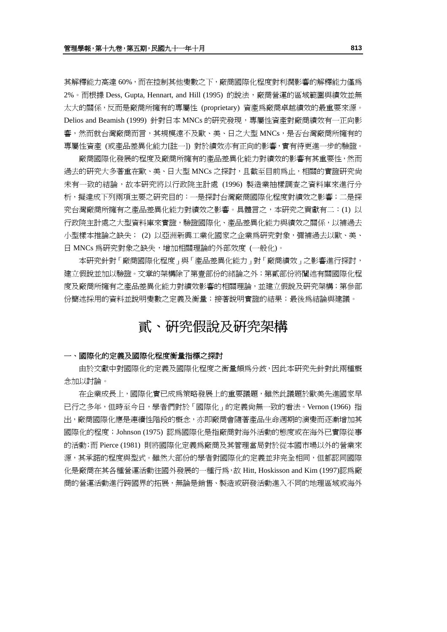其解釋能力高達 60%,而在控制其他變數之下,廠商國際化程度對利潤影響的解釋能力僅為 2%。而根據 Dess, Gupta, Hennart, and Hill (1995) 的說法,廠商營運的區域範圍與績效並無 太大的關係,反而是廠商所擁有的專屬性 (proprietary) 資產為廠商卓越績效的最重要來源。 Delios and Beamish (1999) 針對日本 MNCs 的研究發現,專屬性資產對廠商績效有一正向影 響,然而就台灣廠商而言,其規模遠不及歐、美、日之大型 MNCs,是否台灣廠商所擁有的 專屬性資產 (或產品差異化能力[註一]) 對於績效亦有正向的影響,實有待更進一步的驗證。

廠商國際化發展的程度及廠商所擁有的產品差異化能力對績效的影響有其重要性,然而 過去的研究大多著重在歐、美、日大型 MNCs 之探討,且截至目前為止,相關的實證研究尙 未有一致的結論,故本研究將以行政院主計處 (1996) 製造業抽樣調查之資料庫來進行分 析, 擬達成下列兩項主要之研究目的: 一是探討台灣廠商國際化程度對績效之影響; 二是探 究台灣廠商所擁有之產品差異化能力對績效之影響。具體言之,本研究之貢獻有二:(1) 以 行政院主計處之大型資料庫來實證,驗證國際化、產品差異化能力與績效之關係,以補過去 小型樣本推論之缺失; (2) 以亞洲新興工業化國家之企業為研究對象,彌補過去以歐、美、 日 MNCs 為研究對象之缺失,增加相關理論的外部效度 (一般化)。

本研究針對「廠商國際化程度」與「產品差異化能力」對「廠商績效」之影響進行探討, 建立假說並加以驗證。文章的架構除了第壹部份的緒論之外;第貳部份將闡述有關國際化程 度及廠商所擁有之產品差異化能力對績效影響的相關理論,並建立假說及研究架構;第參部 份簡述採用的資料並說明變數之定義及衡量;接著說明實證的結果;最後為結論與建議。

## 貳、研究假說及研究架構

#### 一、國際化的定義及國際化程度衡量指標之探討

由於文獻中對國際化的定義及國際化程度之衡量頗為分歧,因此本研究先針對此兩種概 念加以討論。

在企業成長上,國際化實已成為策略發展上的重要議題,雖然此議題於歐美先進國家早 已行之多年,但時至今日,學者們對於「國際化」的定義尚無一致的看法。Vernon (1966) 指 出,廠商國際化應是連續性階段的概念,亦即廠商會隨著產品生命週期的演變而逐漸增加其 國際化的程度;Johnson (1975) 認為國際化是指廠商對海外活動的態度或在海外已實際從事 的活動;而 Pierce (1981) 則將國際化定義為廠商及其管理當局對於從本國市場以外的營業來 源,其承諾的程度與型式。雖然大部份的學者對國際化的定義並非完全相同,但都認同國際 化是廠商在其各種營運活動往國外發展的一種行為,故 Hitt, Hoskisson and Kim (1997)認為廠 商的營運活動進行跨國界的拓展,無論是銷售、製造或研發活動進入不同的地理區域或海外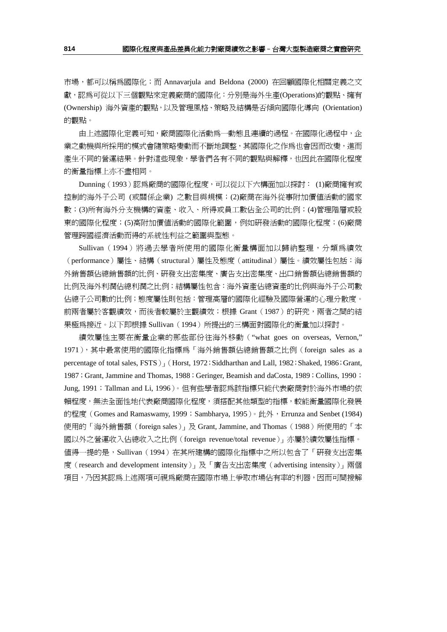市場,都可以稱為國際化;而 Annavarjula and Beldona (2000) 在回顧國際化相關定義之文 獻,認為可從以下三個觀點來定義廠商的國際化:分別是海外生產(Operations)的觀點、擁有 (Ownership) 海外資產的觀點,以及管理風格、策略及結構是否傾向國際化導向 (Orientation) 的觀點。

由上述國際化定義可知,廠商國際化活動為一動態且連續的過程。在國際化過程中,企 業之動機與所採用的模式會隨策略變動而不斷地調整,其國際化之作爲也會因而改變,進而 產生不同的營運結果。針對這些現象,學者們各有不同的觀點與解釋,也因此在國際化程度 的衡量指標上亦不盡相同。

Dunning (1993)認為廠商的國際化程度,可以從以下六構面加以探討: (1)廠商擁有或 控制的海外子公司 (或關係企業) 之數目與規模;(2)廠商在海外從事附加價值活動的國家 數;(3)所有海外分支機構的資產、收入、所得或員工數佔全公司的比例;(4)管理階層或股 東的國際化程度;(5)高附加價值活動的國際化範圍,例如研發活動的國際化程度;(6)廠商 管理跨國經濟活動而得的系統性利益之範圍與型態。

Sullivan(1994)將過去學者所使用的國際化衡量構面加以歸納整理,分類為績效 (performance)屬性、結構(structural)屬性及態度(attitudinal)屬性。績效屬性包括:海 外銷售額佔總銷售額的比例、研發支出密集度、廣告支出密集度、出口銷售額佔總銷售額的 比例及海外利潤佔總利潤之比例;結構屬性包含:海外資產佔總資產的比例與海外子公司數 佔總子公司數的比例;態度屬性則包括:管理高層的國際化經驗及國際營運的心理分散度。 前兩者屬於客觀績效,而後者較屬於主觀績效;根據 Grant(1987)的研究,兩者之間的結 果極為接近。以下即根據 Sullivan (1994) 所提出的三構面對國際化的衡量加以探討。

績效屬性主要在衡量企業的那些部份往海外移動("what goes on overseas, Vernon," 1971), 其中最常使用的國際化指標為「海外銷售額佔總銷售額之比例 (foreign sales as a percentage of total sales, FSTS)」(Horst, 1972;Siddharthan and Lall, 1982;Shaked, 1986;Grant, 1987; Grant, Jammine and Thomas, 1988; Geringer, Beamish and daCosta, 1989; Collins, 1990; Jung, 1991; Tallman and Li, 1996)。但有些學者認為該指標只能代表廠商對於海外市場的依 賴程度,無法全面性地代表廠商國際化程度,須搭配其他類型的指標,較能衡量國際化發展 的程度 (Gomes and Ramaswamy, 1999; Sambharya, 1995)。此外, Errunza and Senbet (1984) 使用的「海外銷售額 (foreign sales)」及 Grant, Jammine, and Thomas (1988) 所使用的「本 國以外之營運收入佔總收入之比例(foreign revenue/total revenue)」亦屬於績效屬性指標。 值得一提的是,Sullivan(1994)在其所建構的國際化指標中之所以包含了「研發支出密集 度(research and development intensity)」及「廣告支出密集度(advertising intensity)」兩個 項目,乃因其認爲上述兩項可視為廠商在國際市場上爭取市場佔有率的利器,因而可間接解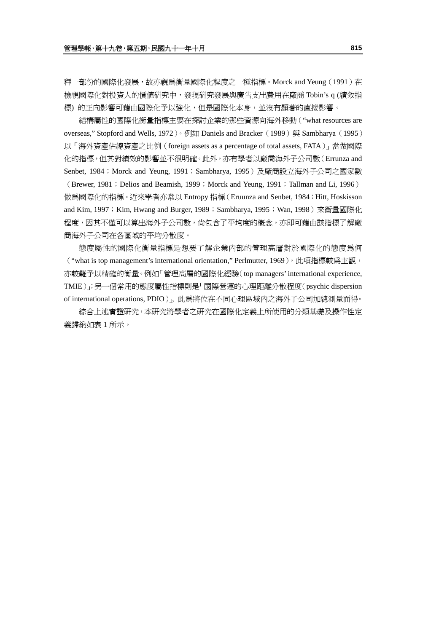釋一部份的國際化發展,故亦視爲衡量國際化程度之一種指標。Morck and Yeung (1991) 在 檢視國際化對投資人的價值研究中,發現研究發展與廣告支出費用在廠商 Tobin's q (績效指 標) 的正向影響可藉由國際化予以強化,但是國際化本身,並沒有顯著的直接影響。

結構屬性的國際化衡量指標主要在探討企業的那些資源向海外移動("what resources are overseas," Stopford and Wells, 1972)。例如 Daniels and Bracker(1989) 與 Sambharya (1995) 以「海外資產佔總資產之比例(foreign assets as a percentage of total assets, FATA)」當做國際 化的指標,但其對績效的影響並不很明確。此外,亦有學者以廠商海外子公司數(Errunza and Senbet, 1984; Morck and Yeung, 1991; Sambharya, 1995)及廠商設立海外子公司之國家數 (Brewer, 1981; Delios and Beamish, 1999; Morck and Yeung, 1991; Tallman and Li, 1996) 做為國際化的指標。近來學者亦常以 Entropy 指標 (Eruunza and Senbet, 1984; Hitt, Hoskisson

and Kim, 1997; Kim, Hwang and Burger, 1989; Sambharya, 1995; Wan, 1998)來衡量國際化 程度,因其不僅可以算出海外子公司數,尙包含了平均度的概念,亦即可藉由該指標了解廠 商海外子公司在各區域的平均分散度。

態度屬性的國際化衡量指標是想要了解企業內部的管理高層對於國際化的態度為何 ("what is top management's international orientation," Perlmutter, 1969),此項指標較為主觀, 亦較難予以精確的衡量。例如「管理高層的國際化經驗(top managers' international experience, TMIE)」;另一個常用的態度屬性指標則是「國際營運的心理距離分散程度(psychic dispersion of international operations, PDIO)」, 此為將位在不同心理區域內之海外子公司加總測量而得。

綜合上述實證研究,本研究將學者之研究在國際化定義上所使用的分類基礎及操作性定 義歸納如表 1 所示。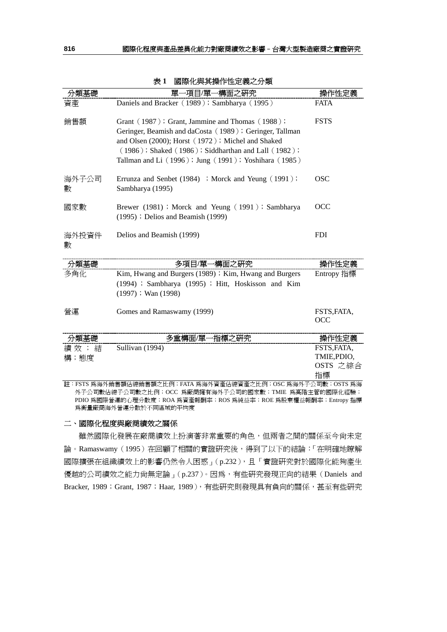|            | -項目/單一構面之硏究<br>里一                                                                                                                                                                                                                                                              |             |
|------------|--------------------------------------------------------------------------------------------------------------------------------------------------------------------------------------------------------------------------------------------------------------------------------|-------------|
| 資產         | Daniels and Bracker (1989); Sambharya (1995)                                                                                                                                                                                                                                   | <b>FATA</b> |
| 銷售額        | Grant (1987); Grant, Jammine and Thomas (1988);<br>Geringer, Beamish and daCosta (1989); Geringer, Tallman<br>and Olsen (2000); Horst (1972); Michel and Shaked<br>(1986); Shaked (1986); Siddharthan and Lall (1982);<br>Tallman and Li (1996); Jung (1991); Yoshihara (1985) | <b>FSTS</b> |
| 海外子公司<br>數 | Errunza and Senbet (1984) ; Morck and Yeung (1991);<br>Sambharya (1995)                                                                                                                                                                                                        | <b>OSC</b>  |
| 國家數        | Brewer (1981); Morck and Yeung (1991); Sambharya<br>$(1995)$ ; Delios and Beamish $(1999)$                                                                                                                                                                                     | OCC         |
| 海外投資件<br>數 | Delios and Beamish (1999)                                                                                                                                                                                                                                                      | <b>FDI</b>  |
|            | '里<br>多項                                                                                                                                                                                                                                                                       | 禅1          |

| 表 1 | 國際化與其操作性定義之分類 |
|-----|---------------|

| 分親基礎 | 多頃日/単一構囬乙妣究                                           | <b>溧作性定義</b>       |
|------|-------------------------------------------------------|--------------------|
| 多角化  | Kim, Hwang and Burgers (1989); Kim, Hwang and Burgers | Entropy 指標         |
|      | (1994) ; Sambharya (1995) ; Hitt, Hoskisson and Kim   |                    |
|      | $(1997)$ ; Wan $(1998)$                               |                    |
| 營運   | Gomes and Ramaswamy (1999)                            | FSTS, FATA.<br>OCC |
| 分類基礎 | 多重構面/單一指標之研究                                          | 操作性定義              |
| 績效;結 | Sullivan (1994)                                       | FSTS, FATA,        |
| 構;熊度 |                                                       | TMIE, PDIO,        |
|      |                                                       | OSTS 之綜合           |

註:FSTS 為海外銷售額佔總銷售額之比例;FATA 為海外資產佔總資產之比例;OSC 為海外子公司數;OSTS 為海 外子公司數佔總子公司數之比例;OCC 為廠商擁有海外子公司的國家數;TMIE 為高階主管的國際化經驗; PDIO 為國際營運的心理分散度;ROA 為資產報酬率;ROS 為純益率;ROE 為股東權益報酬率;Entropy 指標 為衡量廠商海外營運分散於不同區域的平均度

指標

#### 二、國際化程度與廠商績效之關係

雖然國際化發展在廠商績效上扮演著非常重要的角色,但兩者之間的關係至今尚未定 論。Ramaswamy(1995)在回顧了相關的實證研究後,得到了以下的結論:「在明確地瞭解 國際擴張在組織績效上的影響仍然令人困惑」(p.232),且「實證研究對於國際化能夠產生 優越的公司績效之能力尚無定論」(p.237)。因為,有些研究發現正向的結果(Daniels and Bracker, 1989; Grant, 1987; Haar, 1989), 有些研究則發現具有負向的關係, 甚至有些研究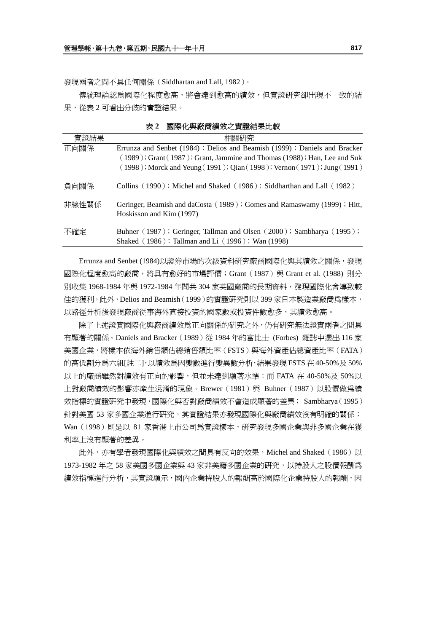發現兩者之間不具任何關係(Siddhartan and Lall, 1982)。

傳統理論認為國際化程度愈高,將會達到愈高的績效,但實證研究卻出現不一致的結 果,從表 2 可看出分歧的實證結果。

表 **2** 國際化與廠商績效之實證結果比較 **實證結果** インフィング インストリック 相關研究 正向關係 Errunza and Senbet (1984); Delios and Beamish (1999); Daniels and Bracker  $(1989)$ ; Grant $(1987)$ ; Grant, Jammine and Thomas  $(1988)$ ; Han, Lee and Suk (1998);Morck and Yeung(1991);Qian(1998);Vernon(1971);Jung(1991) 負向關係 Collins (1990); Michel and Shaked (1986); Siddharthan and Lall (1982) 非線性關係 Geringer, Beamish and daCosta (1989); Gomes and Ramaswamy (1999); Hitt, Hoskisson and Kim (1997) 不確定 Buhner (1987); Geringer, Tallman and Olsen (2000); Sambharya (1995); Shaked (1986); Tallman and Li(1996); Wan (1998)

Errunza and Senbet (1984)以證券市場的次級資料研究廠商國際化與其績效之關係,發現 國際化程度愈高的廠商,將具有愈好的市場評價;Grant(1987)與 Grant et al. (1988) 則分 別收集 1968-1984 年與 1972-1984 年間共 304 家英國廠商的長期資料,發現國際化會導致較 佳的獲利。此外,Delios and Beamish(1999)的實證研究則以 399 家日本製造業廠商為樣本, 以路徑分析後發現廠商從事海外直接投資的國家數或投資件數愈多,其績效愈高。

除了上述證實國際化與廠商績效為正向關係的研究之外,仍有研究無法證實兩者之間具 有顯著的關係。Daniels and Bracker(1989)從 1984 年的富比士 (Forbes) 雜誌中選出 116 家 美國企業,將樣本依海外銷售額佔總銷售額比率(FSTS)與海外資產佔總資產比率(FATA) 的高低劃分為六組[註二],以績效為因變數進行變異數分析,結果發現 FSTS 在 40-50%及 50% 以上的廠商雖然對績效有正向的影響,但並未達到顯著水準;而 FATA 在 40-50%及 50%以 上對廠商績效的影響亦產生混淆的現象。Brewer(1981)與 Buhner(1987)以股價做爲績 效指標的實證研究中發現,國際化與否對廠商績效不會造成顯著的差異; Sambharya(1995) 針對美國 53 家多國企業進行研究,其實證結果亦發現國際化與廠商績效沒有明確的關係; Wan(1998)則是以 81 家香港上市公司為實證樣本,研究發現多國企業與非多國企業在獲 利率上沒有顯著的差異。

此外,亦有學者發現國際化與績效之間具有反向的效果,Michel and Shaked (1986)以 1973-1982 年之 58 家美國多國企業與 43 家非美籍多國企業的研究,以持股人之股價報酬為 績效指標進行分析,其實證顯示,國內企業持股人的報酬高於國際化企業持股人的報酬,因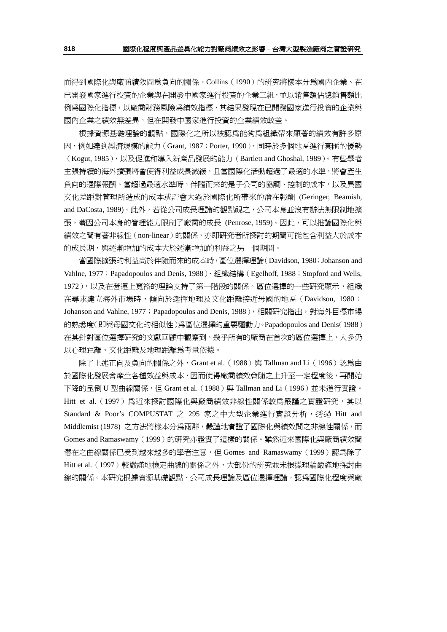而得到國際化與廠商績效間為負向的關係。Collins(1990)的研究將樣本分為國內企業、在 已開發國家進行投資的企業與在開發中國家進行投資的企業三組,並以銷售額佔總銷售額比 例為國際化指標,以廠商財務風險為績效指標,其結果發現在已開發國家進行投資的企業與 國內企業之績效無差異,但在開發中國家進行投資的企業績效較差。

根據資源基礎理論的觀點,國際化之所以被認為能夠為組織帶來顯著的績效有許多原 因,例如達到經濟規模的能力(Grant, 1987;Porter, 1990)、同時於多個地區進行套匯的優勢 (Kogut, 1985),以及促進和導入新產品發展的能力(Bartlett and Ghoshal, 1989)。有些學者 主張持續的海外擴張將會使得利益成長減緩,且當國際化活動超過了最適的水準,將會產生 負向的邊際報酬。當超過最適水準時,伴隨而來的是子公司的協調、控制的成本,以及異國 文化差距對管理所造成的成本或許會大過於國際化所帶來的潛在報酬 (Geringer, Beamish, and DaCosta, 1989)。此外,若從公司成長理論的觀點視之,公司本身並沒有辦法無限制地擴 張,蓋因公司本身的管理能力限制了廠商的成長 (Penrose, 1959)。因此,可以推論國際化與 績效之間有著非線性(non-linear)的關係,亦即研究者所探討的期間可能包含利益大於成本 的成長期,與逐漸增加的成本大於逐漸增加的利益之另一個期間。

當國際擴張的利益高於伴隨而來的成本時,區位選擇理論(Davidson, 1980;Johanson and Vahlne, 1977; Papadopoulos and Denis, 1988)、組織結構 (Egelhoff, 1988; Stopford and Wells, 1972),以及在營運上寬裕的理論支持了第一階段的關係。區位選擇的一些研究顯示,組織 在尋求建立海外市場時,傾向於選擇地理及文化距離接近母國的地區(Davidson, 1980; Johanson and Vahlne, 1977; Papadopoulos and Denis, 1988),相關研究指出,對海外目標市場 的熟悉度(即與母國文化的相似性)為區位選擇的重要驅動力。Papadopoulos and Denis(1988) 在其針對區位選擇研究的文獻回顧中觀察到,幾乎所有的廠商在首次的區位選擇上,大多仍 以心理距離、文化距離及地理距離為考量依據。

除了上述正向及負向的關係之外,Grant et al. (1988)與 Tallman and Li (1996)認為由 於國際化發展會產生各種效益與成本,因而使得廠商績效會隨之上升至一定程度後,再開始 下降的呈倒 U 型曲線關係, 但 Grant et al. (1988) 與 Tallman and Li (1996) 並未進行實證。 Hitt et al. (1997) 為沂來探討國際化與廠商績效非線性關係較為嚴謹之實證研究,其以 Standard & Poor's COMPUSTAT 之 295 家之中大型企業進行實證分析,透過 Hitt and Middlemist (1978) 之方法將樣本分為兩群,嚴謹地實證了國際化與績效間之非線性關係,而 Gomes and Ramaswamy(1999)的研究亦證實了這樣的關係。雖然近來國際化與廠商績效間 潛在之曲線關係已受到越來越多的學者注意,但 Gomes and Ramaswamy(1999)認為除了 Hitt et al. (1997)較嚴謹地檢定曲線的關係之外, 大部份的研究並未根據理論嚴謹地探討曲 線的關係。本研究根據資源基礎觀點、公司成長理論及區位選擇理論,認為國際化程度與廠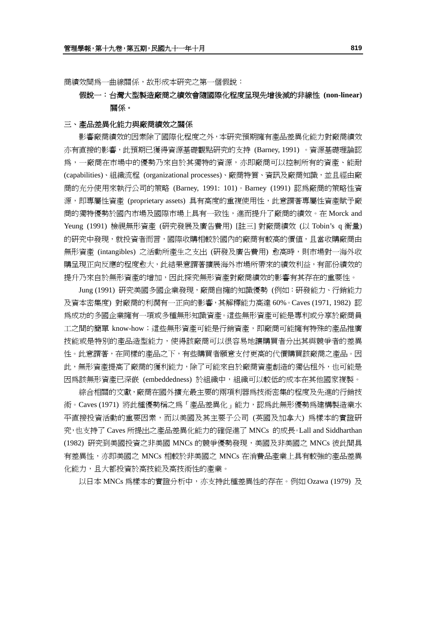商績效間為一曲線關係,故形成本研究之第一個假說:

### 假說一:台灣大型製造廠商之績效會隨國際化程度呈現先增後減的非線性 **(non-linear)**  關係。

### 三、產品差異化能力與廠商績效之關係

影響廠商績效的因素除了國際化程度之外,本研究預期擁有產品差異化能力對廠商績效 亦有直接的影響,此預期已獲得資源基礎觀點研究的支持 (Barney, 1991) 。資源基礎理論認 為,一廠商在市場中的優勢乃來自於其獨特的資源,亦即廠商可以控制所有的資產、能耐 (capabilities)、組織流程 (organizational processes)、廠商特質、資訊及廠商知識,並且經由廠 商的充分使用來執行公司的策略 (Barney, 1991: 101)。Barney (1991) 認為廠商的策略性資 源, 即專屬性資產 (proprietary assets) 具有高度的重複使用性, 此意謂著專屬性資產賦予廠 商的獨特優勢於國內市場及國際市場上具有一致性,進而提升了廠商的績效。在 Morck and Yeung (1991) 檢視無形資產 (研究發展及廣告費用) [註三] 對廠商績效 (以 Tobin's q 衡量) 的研究中發現,就投資者而言,國際收購相較於國內的廠商有較高的價值,且當收購廠商由 無形資產 (intangibles) 之活動所產生之支出 (研發及廣告費用) 愈高時,則市場對一海外收 購呈現正向反應的程度愈大,此結果意謂著擴展海外市場所帶來的績效利益,有部份績效的 提升乃來自於無形資產的增加,因此探究無形資產對廠商績效的影響有其存在的重要性。

Jung (1991) 研究美國多國企業發現,廠商自擁的知識優勢 (例如:研發能力、行銷能力 及資本密集度) 對廠商的利潤有一正向的影響,其解釋能力高達 60%。Caves (1971, 1982) 認 為成功的多國企業擁有一項或多種無形知識資產。這些無形資產可能是專利或分享於廠商員 工之間的簡單 know-how;這些無形資產可能是行銷資產,即廠商可能擁有特殊的產品推廣 技能或是特別的產品造型能力,使得該廠商可以很容易地讓購買者分出其與競爭者的差異 性。此意謂著,在同樣的產品之下,有些購買者願意支付更高的代價購買該廠商之產品。因 此,無形資產提高了廠商的獲利能力,除了可能來自於廠商資產創造的獨佔和外,也可能是 因為該無形資產已深嵌 (embeddedness) 於組織中,組織可以較低的成本在其他國家複製。

綜合相關的文獻,廠商在國外擴充最主要的兩項利器為技術密集的程度及先進的行銷技 術。Caves (1971) 將此種優勢稱之為「產品差異化」能力,認為此無形優勢為建構製造業水 平直接投資活動的重要因素,而以美國及其主要子公司(英國及加拿大) 為樣本的實證研 究,也支持了 Caves 所提出之產品差異化能力的確促進了 MNCs 的成長。Lall and Siddharthan (1982) 研究到美國投資之非美國 MNCs 的競爭優勢發現,美國及非美國之 MNCs 彼此間具 有差異性,亦即美國之 MNCs 相較於非美國之 MNCs 在消費品產業上具有較強的產品差異 化能力,且大都投資於高技能及高技術性的產業。

以日本 MNCs 為樣本的實證分析中,亦支持此種差異性的存在。例如 Ozawa (1979) 及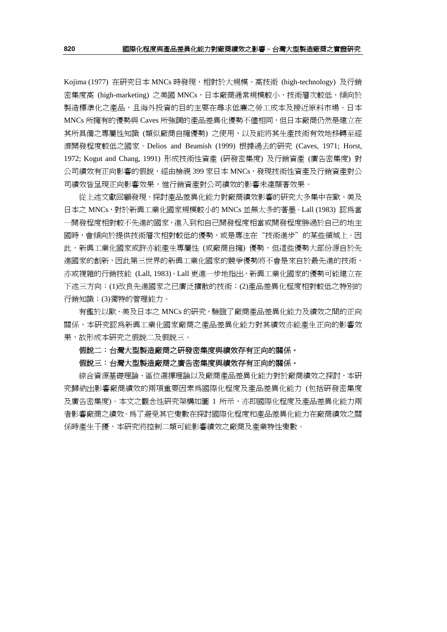Kojima (1977) 在研究日本 MNCs 時發現,相對於大規模、高技術 (high-technology) 及行銷 密集度高 (high-marketing) 之美國 MNCs,日本廠商通常規模較小,技術層次較低,傾向於 製造標準化之產品,且海外投資的目的主要在尋求低廉之勞工成本及接近原料市場。日本 MNCs 所擁有的優勢與 Caves 所強調的產品差異化優勢不儘相同,但日本廠商仍然是建立在 其所具備之專屬性知識 (類似廠商自擁優勢) 之使用,以及能將其生產技術有效地移轉至經 濟開發程度較低之國家。Delios and Beamish (1999) 根據過去的研究 (Caves, 1971; Horst, 1972; Kogut and Chang, 1991) 形成技術性資產 (研發密集度) 及行銷資產 (廣告密集度) 對 公司績效有正向影響的假說,經由檢視 399 家日本 MNCs,發現技術性資產及行銷資產對公 司績效皆呈現正向影響效果,惟行銷資產對公司績效的影響未達顯著效果。

從上述文獻回顧發現,探討產品差異化能力對廠商績效影響的研究大多集中在歐、美及 日本之 MNCs,對於新興工業化國家規模較小的 MNCs 並無太多的著墨。Lall (1983) 認為當 一開發程度相對較不先進的國家,進入到和自己開發程度相當或開發程度勝過於自己的地主 國時,會傾向於提供技術層次相對較低的優勢,或是專注在"技術進步"的某些領域上。因 此,新興工業化國家或許亦能產生專屬性 (或廠商自擁) 優勢,但這些優勢大部份源自於先 進國家的創新,因此第三世界的新興工業化國家的競爭優勢將不會是來自於最先進的技術, 亦或複雜的行銷技能 (Lall, 1983)。Lall 更進一步地指出, 新興工業化國家的優勢可能建立在 下述三方向:(1)改良先進國家之已廣泛擴散的技術;(2)產品差異化程度相對較低之特別的 行銷知識;(3)獨特的管理能力。

有鑑於以歐、美及日本之 MNCs 的研究,驗證了廠商產品差異化能力及績效之間的正向 關係,本研究認為新興工業化國家廠商之產品差異化能力對其績效亦能產生正向的影響效 果,故形成本研究之假說二及假說三。

#### 假說二:台灣大型製造廠商之研發密集度與績效存有正向的關係。

#### 假說三:台灣大型製造廠商之廣告密集度與績效存有正向的關係。

綜合資源基礎理論、區位選擇理論以及廠商產品差異化能力對於廠商績效之探討,本研 究歸納出影響廠商績效的兩項重要因素為國際化程度及產品差異化能力 (包括研發密集度 及廣告密集度)。本文之觀念性研究架構如圖 1 所示,亦即國際化程度及產品差異化能力兩 者影響廠商之績效。為了避免其它變數在探討國際化程度和產品差異化能力在廠商績效之關 係時產生干擾,本研究將控制二類可能影響績效之廠商及產業特性變數。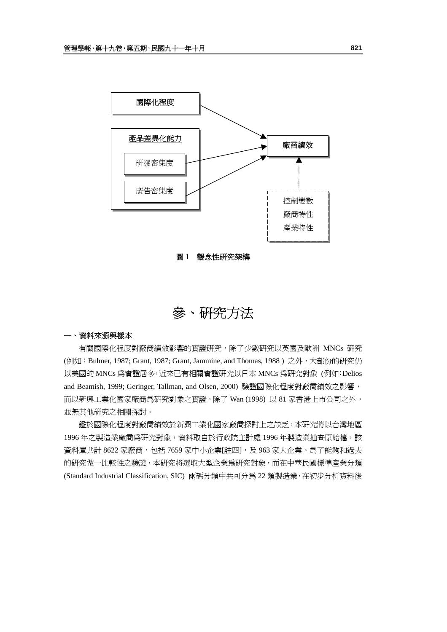

圖 **1** 觀念性研究架構

參、研究方法

### 一、資料來源與樣本

有關國際化程度對廠商績效影響的實證研究,除了少數研究以英國及歐洲 MNCs 研究 (例如: Buhner, 1987; Grant, 1987; Grant, Jammine, and Thomas, 1988) 之外, 大部份的研究仍 以美國的 MNCs 為實證居多,近來已有相關實證研究以日本 MNCs 為研究對象 (例如:Delios and Beamish, 1999; Geringer, Tallman, and Olsen, 2000) 驗證國際化程度對廠商績效之影響, 而以新興工業化國家廠商為研究對象之實證,除了 Wan (1998) 以 81 家香港上市公司之外, 並無其他研究之相關探討。

鑑於國際化程度對廠商績效於新興工業化國家廠商探討上之缺乏,本研究將以台灣地區 1996 年之製造業廠商為研究對象,資料取自於行政院主計處 1996 年製造業抽查原始檔,該 資料庫共計 8622 家廠商,包括 7659 家中小企業[註四],及 963 家大企業。為了能夠和過去 的研究做一比較性之驗證,本研究將選取大型企業為研究對象,而在中華民國標準產業分類 (Standard Industrial Classification, SIC) 兩碼分類中共可分為 22 類製造業,在初步分析資料後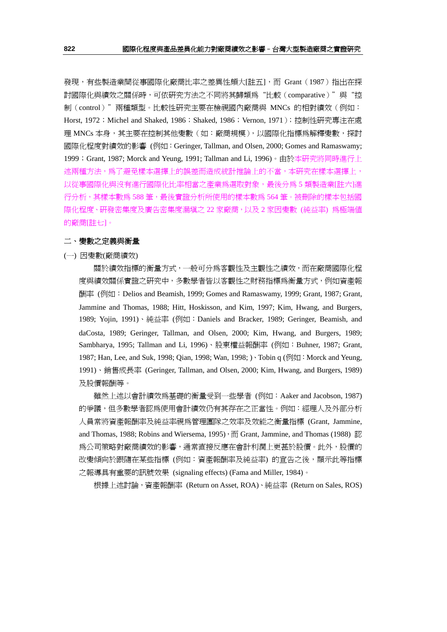發現,有些製造業間從事國際化廠商比率之差異性頗大[註五],而 Grant (1987) 指出在探 討國際化與績效之關係時,可依研究方法之不同將其歸類爲"比較(comparative)"與"控 制(control)"兩種類型。比較性研究主要在檢視國內廠商與 MNCs 的相對績效(例如: Horst, 1972; Michel and Shaked, 1986; Shaked, 1986; Vernon, 1971); 控制性研究專注在處 理 MNCs 本身,其主要在控制其他變數 (如:廠商規模),以國際化指標為解釋變數,探討 國際化程度對績效的影響 (例如:Geringer, Tallman, and Olsen, 2000; Gomes and Ramaswamy; 1999; Grant, 1987; Morck and Yeung, 1991; Tallman and Li, 1996)。由於本研究將同時進行上 述兩種方法,為了避免樣本選擇上的誤差而造成統計推論上的不當,本研究在樣本選擇上, 以從事國際化與沒有進行國際化比率相當之產業爲選取對象,最後分爲 5 類製造業[註六]進 行分析,其樣本數為 588 筆,最後實證分析所使用的樣本數為 564 筆。被刪除的樣本包括國 際化程度、研發密集度及廣告密集度漏填之 22 家廠商,以及 2 家因變數 (純益率) 為極端値 的廠商[註七]。

### 二、變數之定義與衡量

(一) 因變數(廠商績效)

關於績效指標的衡量方式,一般可分為客觀性及主觀性之績效,而在廠商國際化程 度與績效關係實證之研究中,多數學者皆以客觀性之財務指標為衡量方式,例如資產報 酬率 (例如:Delios and Beamish, 1999; Gomes and Ramaswamy, 1999; Grant, 1987; Grant, Jammine and Thomas, 1988; Hitt, Hoskisson, and Kim, 1997; Kim, Hwang, and Burgers, 1989; Yojin, 1991)、純益率 (例如:Daniels and Bracker, 1989; Geringer, Beamish, and daCosta, 1989; Geringer, Tallman, and Olsen, 2000; Kim, Hwang, and Burgers, 1989; Sambharya, 1995; Tallman and Li, 1996)、股東權益報酬率 (例如:Buhner, 1987; Grant, 1987; Han, Lee, and Suk, 1998; Oian, 1998; Wan, 1998; ) · Tobin q (例如: Morck and Yeung, 1991)、銷售成長率 (Geringer, Tallman, and Olsen, 2000; Kim, Hwang, and Burgers, 1989) 及股價報酬等。

雖然上述以會計績效為基礎的衡量受到一些學者 (例如:Aaker and Jacobson, 1987) 的爭議,但多數學者認為使用會計績效仍有其存在之正當性。例如:經理人及外部分析 人員常將資產報酬率及純益率視為管理團隊之效率及效能之衡量指標 (Grant, Jammine, and Thomas, 1988; Robins and Wiersema, 1995), 而 Grant, Jammine, and Thomas (1988) 認 為公司策略對廠商績效的影響,通常直接反應在會計利潤上更甚於股價。此外,股價的 改變傾向於跟隨在某些指標 (例如:資產報酬率及純益率) 的宣告之後,顯示此等指標 之報導具有重要的訊號效果 (signaling effects) (Fama and Miller, 1984)。

根據上述討論,資產報酬率 (Return on Asset, ROA)、純益率 (Return on Sales, ROS)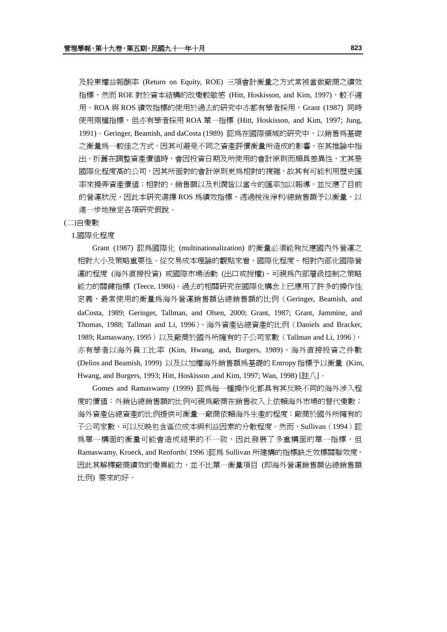及股東權益報酬率 (Return on Equity, ROE) 三項會計衡量之方式常被當做廠商之績效 指標,然而 ROE 對於資本結構的改變較敏感 (Hitt, Hoskisson, and Kim, 1997),較不適 用。ROA 與 ROS 績效指標的使用於過去的研究中亦都有學者採用,Grant (1987) 同時 使用兩種指標,但亦有學者採用 ROA 單一指標 (Hitt, Hoskisson, and Kim, 1997; Jung, 1991)。Geringer, Beamish, and daCosta (1989) 認為在國際領域的研究中,以銷售為基礎 之衡量為一較佳之方式,因其可避免不同之資產評價衡量所造成的影響,在其推論中指 出,折舊在調整資產價值時,會因投資日期及所使用的會計原則而頗具差異性,尤其是 國際化程度高的公司,因其所面對的會計原則更為相對的複雜,故其有可能利用歷史匯 率來操弄資產價值;相對的,銷售額以及利潤皆以當今的匯率加以報導,並反應了目前 的營運狀況,因此本研究選擇 ROS 為績效指標,透過稅後淨利/總銷售額予以衡量,以 進一步地檢定各項研究假說。

#### (二)自變數

#### 1.國際化程度

Grant (1987) 認為國際化 (multinationalization) 的衡量必須能夠反應國內外營運之 相對大小及策略重要性。從交易成本理論的觀點來看,國際化程度–相對內部化國際營 運的程度 (海外直接投資) 或國際市場活動 (出口或授權)–可視為內部層級控制之策略 能力的關鍵指標 (Teece, 1986)。過去的相關研究在國際化構念上已應用了許多的操作性 定義,最常使用的衡量為海外營運銷售額佔總銷售額的比例(Geringer, Beamish, and daCosta, 1989; Geringer, Tallman, and Olsen, 2000; Grant, 1987; Grant, Jammine, and Thomas, 1988; Tallman and Li, 1996)、海外資產佔總資產的比例(Daniels and Bracker, 1989; Ramaswany, 1995)以及廠商於國外所擁有的子公司家數(Tallman and Li, 1996), 亦有學者以海外員工比率 (Kim, Hwang, and, Burgers, 1989)、海外直接投資之件數 (Delios and Beamish, 1999) 以及以加權海外銷售額為基礎的 Entropy指標予以衡量 (Kim, Hwang, and Burgers, 1993; Hitt, Hoskisson ,and Kim, 1997; Wan, 1998) [註八]。

Gomes and Ramaswamy (1999) 認為每一種操作化都具有其反映不同的海外涉入程 度的價值:外銷佔總銷售額的比例可視為廠商在銷售收入上依賴海外市場的替代變數; 海外資產佔總資產的比例提供可衡量一廠商依賴海外生產的程度;廠商於國外所擁有的 子公司家數,可以反映包含區位成本與利益因素的分散程度。然而,Sullivan (1994)認 為單一構面的衡量可能會造成結果的不一致,因此發展了多重構面的單一指標,但 Ramaswamy, Kroeck, and Renforth(1996)認為 Sullivan 所建構的指標缺乏效標關聯效度, 因此其解釋廠商績效的變異能力,並不比單一衡量項目 (即海外營運銷售額佔總銷售額 比例) 要來的好。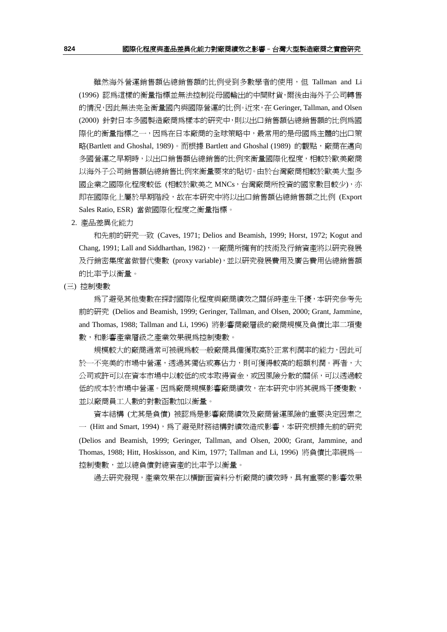雖然海外營運銷售額佔總銷售額的比例受到多數學者的使用,但 Tallman and Li (1996) 認為這樣的衡量指標並無法控制從母國輸出的中間財貨,爾後由海外子公司轉售 的情況,因此無法完全衡量國內與國際營運的比例。近來,在 Geringer, Tallman, and Olsen (2000) 針對日本多國製造廠商為樣本的研究中,則以出口銷售額佔總銷售額的比例為國 際化的衡量指標之一,因為在日本廠商的全球策略中,最常用的是母國為主體的出口策 略(Bartlett and Ghoshal, 1989)。而根據 Bartlett and Ghoshal (1989) 的觀點,廠商在邁向 多國營運之早期時,以出口銷售額佔總銷售的比例來衡量國際化程度,相較於歐美廠商 以海外子公司銷售額佔總銷售比例來衡量要來的貼切。由於台灣廠商相較於歐美大型多 國企業之國際化程度較低 (相較於歐美之 MNCs,台灣廠商所投資的國家數目較少),亦 即在國際化上屬於早期階段,故在本研究中將以出口銷售額佔總銷售額之比例 (Export Sales Ratio, ESR) 當做國際化程度之衡量指標。

2. 產品差異化能力

和先前的研究一致 (Caves, 1971; Delios and Beamish, 1999; Horst, 1972; Kogut and Chang, 1991; Lall and Siddharthan, 1982),一廠商所擁有的技術及行銷資產將以研究發展 及行銷密集度當做替代變數 (proxy variable),並以研究發展費用及廣告費用佔總銷售額 的比率予以衡量。

(三) 控制變數

為了避免其他變數在探討國際化程度與廠商績效之關係時產生干擾,本研究參考先 前的研究 (Delios and Beamish, 1999; Geringer, Tallman, and Olsen, 2000; Grant, Jammine, and Thomas, 1988; Tallman and Li, 1996) 將影響商廠層級的廠商規模及負債比率二項變 數,和影響產業層級之產業效果視為控制變數。

規模較大的廠商通常可被視為較一般廠商具備獲取高於正常利潤率的能力,因此可 於一不完美的市場中營運,透過其獨佔或寡佔力,則可獲得較高的超額利潤。再者,大 公司或許可以在資本市場中以較低的成本取得資金,或因風險分散的關係,可以透過較 低的成本於市場中營運。因為廠商規模影響廠商績效,在本研究中將其視爲干擾變數, 並以廠商員工人數的對數函數加以衡量。

資本結構 (尤其是負債) 被認為是影響廠商績效及廠商營運風險的重要決定因素之 一 (Hitt and Smart, 1994),為了避免財務結構對績效造成影響,本研究根據先前的研究 (Delios and Beamish, 1999; Geringer, Tallman, and Olsen, 2000; Grant, Jammine, and Thomas, 1988; Hitt, Hoskisson, and Kim, 1977; Tallman and Li, 1996) 將負債比率視為一 控制變數,並以總負債對總資產的比率予以衡量。

過去研究發現,產業效果在以橫斷面資料分析廠商的績效時,具有重要的影響效果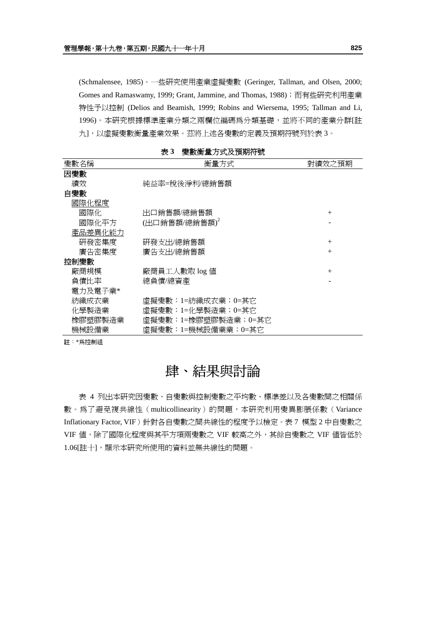(Schmalensee, 1985)。一些研究使用產業虛擬變數 (Geringer, Tallman, and Olsen, 2000; Gomes and Ramaswamy, 1999; Grant, Jammine, and Thomas, 1988); 而有些研究利用產業 特性予以控制 (Delios and Beamish, 1999; Robins and Wiersema, 1995; Tallman and Li, 1996)。本研究根據標準產業分類之兩欄位編碼為分類基礎,並將不同的產業分群[註 九],以虛擬變數衡量產業效果。茲將上述各變數的定義及預期符號列於表 3。

| 變數名稱    | 衡量方式                | 對績效之預期 |
|---------|---------------------|--------|
| 因變數     |                     |        |
| 績效      | 純益率=稅後淨利/總銷售額       |        |
| 自變數     |                     |        |
| 國際化程度   |                     |        |
| 國際化     | 出口銷售額/總銷售額          | $^{+}$ |
| 國際化平方   | (出口銷售額/總銷售額)        |        |
| 產品差異化能力 |                     |        |
| 硏發密集度   | 硏發支出/總銷售額           | $^{+}$ |
| 廣告密集度   | 廣告支出/總銷售額           | $^{+}$ |
| 控制變數    |                     |        |
| 廠商規模    | 廠商員工人數取 log 値       | $^{+}$ |
| 負債比率    | 總負債/總資產             |        |
| 電力及電子業* |                     |        |
| 紡織成衣業   | 虛擬變數:1=紡織成衣業;0=其它   |        |
| 化學製造業   | 虛擬變數:1=化學製造業;0=其它   |        |
| 橡膠塑膠製浩業 | 虛擬變數:1=橡膠塑膠製造業;0=其它 |        |
| 機械設備業   | 虛擬變數:1=機械設備業業;0=其它  |        |

表 **3** 變數衡量方式及預期符號

註:\*為控制組

## 肆、結果與討論

表 4 列出本研究因變數、自變數與控制變數之平均數、標準差以及各變數間之相關係 數。為了避免複共線性(multicollinearity)的問題,本研究利用變異膨脹係數(Variance Inflationary Factor, VIF)針對各自變數之間共線性的程度予以檢定。表 7 模型 2 中自變數之 VIF 值,除了國際化程度與其平方項兩變數之 VIF 較高之外,其餘自變數之 VIF 值皆低於 1.06[註十],顯示本研究所使用的資料並無共線性的問題。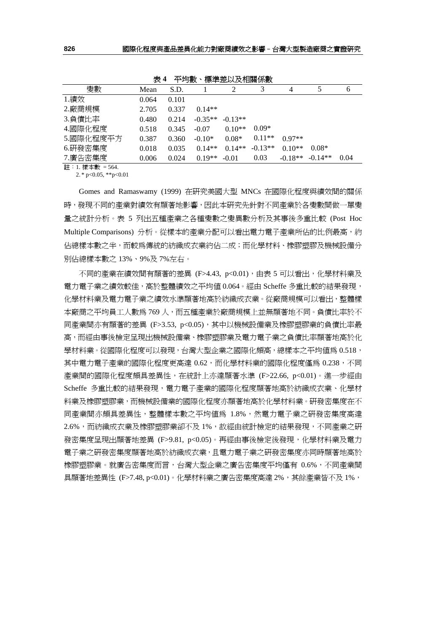| <u>та на те</u><br><b>A-TAA-A-A-THENDISA</b> |       |       |           |           |           |          |                     |      |
|----------------------------------------------|-------|-------|-----------|-----------|-----------|----------|---------------------|------|
| 變數                                           | Mean  | S.D.  |           |           | 3         | 4        |                     | 6    |
| 1.績效                                         | 0.064 | 0.101 |           |           |           |          |                     |      |
| 2.廠商規模                                       | 2.705 | 0.337 | $0.14**$  |           |           |          |                     |      |
| 3.負債比率                                       | 0.480 | 0.214 | $-0.35**$ | $-0.13**$ |           |          |                     |      |
| 4.國際化程度                                      | 0.518 | 0.345 | $-0.07$   | $0.10**$  | $0.09*$   |          |                     |      |
| 5.國際化程度平方                                    | 0.387 | 0.360 | $-0.10*$  | $0.08*$   | $0.11**$  | $0.97**$ |                     |      |
| 6.研發密集度                                      | 0.018 | 0.035 | $0.14**$  | $0.14**$  | $-0.13**$ | $0.10**$ | $0.08*$             |      |
| 7.廣告密集度                                      | 0.006 | 0.024 | $0.19**$  | $-0.01$   | 0.03      |          | $-0.18**$ $-0.14**$ | 0.04 |
|                                              |       |       |           |           |           |          |                     |      |

表 **4** 平均數、標準差以及相關係數

註:1. 樣本數 = 564.

2. \* p<0.05, \*\* p<0.01

Gomes and Ramaswamy (1999) 在研究美國大型 MNCs 在國際化程度與績效間的關係 時,發現不同的產業對績效有顯著地影響,因此本研究先針對不同產業於各變數間做一單變 量之統計分析。表 5 列出五種產業之各種變數之變異數分析及其事後多重比較 (Post Hoc Multiple Comparisons) 分析。從樣本的產業分配可以看出電力電子產業所佔的比例最高,約 佔總樣本數之半,而較為傳統的紡織成衣業約佔二成;而化學材料、橡膠塑膠及機械設備分 別佔總樣本數之 13%、9%及 7%左右。

不同的產業在績效間有顯著的差異 (F>4.43, p<0.01),由表 5 可以看出,化學材料業及 電力電子業之績效較佳,高於整體績效之平均值 0.064。經由 Scheffe 多重比較的結果發現, 化學材料業及電力電子業之績效水準顯著地高於紡織成衣業。從廠商規模可以看出,整體樣 本廠商之平均員工人數為 769 人,而五種產業於廠商規模上並無顯著地不同。 負債比率於不 同產業間亦有顯著的差異 (F>3.53, p<0.05),其中以機械設備業及橡膠塑膠業的負債比率最 高,而經由事後檢定呈現出機械設備業、橡膠塑膠業及電力電子業之負債比率顯著地高於化 學材料業。從國際化程度可以發現,台灣大型企業之國際化頗高,總樣本之平均值爲 0.518, 其中電力電子產業的國際化程度更高達 0.62,而化學材料業的國際化程度僅為 0.238,不同 產業間的國際化程度頗具差異性,在統計上亦達顯著水準 (F>22.66, p<0.01)。進一步經由 Scheffe 多重比較的結果發現,電力電子產業的國際化程度顯著地高於紡織成衣業、化學材 料業及橡膠塑膠業,而機械設備業的國際化程度亦顯著地高於化學材料業。研發密集度在不 同產業間亦頗具差異性,整體樣本數之平均值為 1.8%,然電力電子業之研發密集度高達 2.6%,而紡織成衣業及橡膠塑膠業卻不及 1%,故經由統計檢定的結果發現,不同產業之研 發密集度呈現出顯著地差異 (F>9.81, p<0.05)。再經由事後檢定後發現,化學材料業及電力 電子業之研發密集度顯著地高於紡織成衣業,且電力電子業之研發密集度亦同時顯著地高於 橡膠塑膠業。就廣告密集度而言,台灣大型企業之廣告密集度平均僅有 0.6%,不同產業間 具顯著地差異性 (F>7.48, p<0.01)。化學材料業之廣告密集度高達 2%,其餘產業皆不及 1%,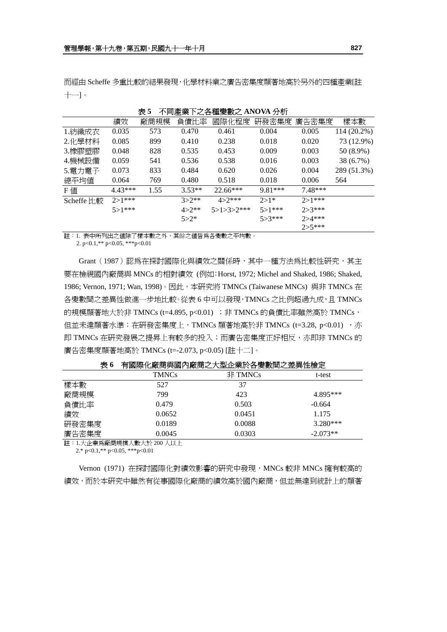而經由 Scheffe 多重比較的結果發現,化學材料業之廣告密集度顯著地高於另外的四種產業[註 十一]。

| 2X J<br>4当班生未干а在俚爱数a AliO YA 刀仰 |            |      |           |              |            |             |             |  |
|---------------------------------|------------|------|-----------|--------------|------------|-------------|-------------|--|
|                                 | 績效         | 廠商規模 | 負債比率      | 國際化程度        | 研發密集度      | 廣告密集度       | 樣本數         |  |
| 1.紡織成衣                          | 0.035      | 573  | 0.470     | 0.461        | 0.004      | 0.005       | 114 (20.2%) |  |
| 2.化學材料                          | 0.085      | 899  | 0.410     | 0.238        | 0.018      | 0.020       | 73 (12.9%)  |  |
| 3.橡膠塑膠                          | 0.048      | 828  | 0.535     | 0.453        | 0.009      | 0.003       | 50 (8.9%)   |  |
| 4.機械設備                          | 0.059      | 541  | 0.536     | 0.538        | 0.016      | 0.003       | 38 (6.7%)   |  |
| 5.電力電子                          | 0.073      | 833  | 0.484     | 0.620        | 0.026      | 0.004       | 289 (51.3%) |  |
| 總平均値                            | 0.064      | 769  | 0.480     | 0.518        | 0.018      | 0.006       | 564         |  |
| F値                              | $4.43***$  | 1.55 | $3.53**$  | $22.66***$   | $9.81***$  | $7.48***$   |             |  |
| Scheffe 比較                      | $2 > 1***$ |      | $3 > 2**$ | $4 > 2***$   | $2 > 1*$   | $2 > 1***$  |             |  |
|                                 | $5 > 1***$ |      | $4 > 2**$ | $5>1>3>2***$ | $5 > 1***$ | $2 > 3***$  |             |  |
|                                 |            |      | $5 > 2^*$ |              | $5 > 3***$ | $2 > 4$ *** |             |  |
|                                 |            |      |           |              |            | $2 > 5***$  |             |  |

表 **5** 不同產業下之各種變數之 **ANOVA** 分析

註:1. 表中所列出之值除了樣本數之外,其餘之值皆為各變數之平均數。

2. p<0.1,\*\* p<0.05, \*\*\*p<0.01

Grant (1987)認為在探討國際化與績效之關係時,其中一種方法為比較性研究,其主 要在檢視國內廠商與 MNCs 的相對績效 (例如:Horst, 1972; Michel and Shaked, 1986; Shaked, 1986; Vernon, 1971; Wan, 1998)。因此, 本研究將 TMNCs (Taiwanese MNCs) 與非 TMNCs 在 各變數間之差異性做進一步地比較。從表 6 中可以發現,TMNCs 之比例超過九成,且 TMNCs 的規模顯著地大於非 TMNCs ( $t=4.895$ ,  $p<0.01$ ) ; 非 TMNCs 的負債比率雖然高於 TMNCs, 但並未達顯著水準;在研發密集度上,TMNCs 顯著地高於非 TMNCs (t=3.28, p<0.01) , 亦 即 TMNCs 在研究發展之提昇上有較多的投入;而廣告密集度正好相反,亦即非 TMNCs 的 廣告密集度顯著地高於 TMNCs (t=-2.073, p<0.05) [註十二]。

| <b>TMNCs</b> | 非 TMNCs | t-test     |
|--------------|---------|------------|
| 527          | 37      |            |
| 799          | 423     | 4.895***   |
| 0.479        | 0.503   | $-0.664$   |
| 0.0652       | 0.0451  | 1.175      |
| 0.0189       | 0.0088  | $3.280***$ |
| 0.0045       | 0.0303  | $-2.073**$ |
|              |         |            |

表 **6** 有國際化廠商與國內廠商之大型企業於各變數間之差異性檢定

註:1.大企業為廠商規模人數大於 200 人以上

2.\* p<0.1,\*\* p<0.05, \*\*\*p<0.01

Vernon (1971) 在探討國際化對績效影響的研究中發現, MNCs 較非 MNCs 擁有較高的 績效,而於本研究中雖然有從事國際化廠商的績效高於國內廠商,但並無達到統計上的顯著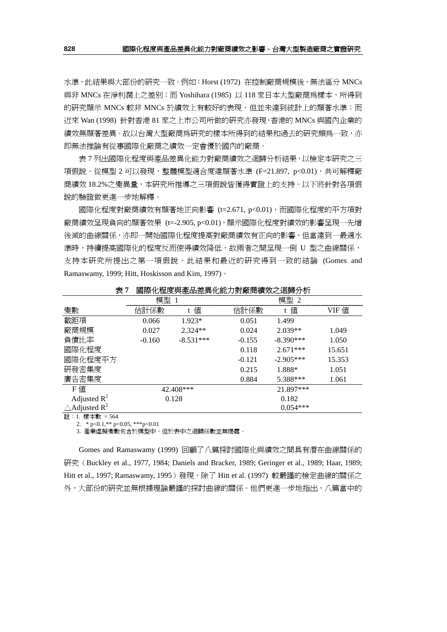水準,此結果與大部份的研究一致。例如:Horst (1972) 在控制廠商規模後,無法區分 MNCs 與非 MNCs 在淨利潤上之差別;而 Yoshihara (1985) 以 118 家日本大型廠商為樣本,所得到 的研究顯示 MNCs 較非 MNCs 於績效上有較好的表現,但並未達到統計上的顯著水準;而 近來 Wan (1998) 針對香港 81 家之上市公司所做的研究亦發現,香港的 MNCs 與國內企業的 績效無顯著差異。故以台灣大型廠商為研究的樣本所得到的結果和過去的研究頗爲一致,亦 即無法推論有從事國際化廠商之績效一定會優於國內的廠商。

表 7 列出國際化程度與產品差異化能力對廠商績效之迴歸分析結果,以檢定本研究之三 項假說。從模型 2 可以發現,整體模型適合度達顯著水準 (F=21.897, p<0.01),共可解釋廠 商績效 18.2%之變異量,本研究所推導之三項假說皆獲得實證上的支持。以下將針對各項假 說的驗證做更進一步地解釋。

國際化程度對廠商績效有顯著地正向影響 (t=2.671, p<0.01),而國際化程度的平方項對 廠商績效呈現負向的顯著效果 (t=-2.905, p<0.01), 顯示國際化程度對績效的影響呈現一先增 後減的曲線關係,亦即一開始國際化程度提高對廠商績效有正向的影響,但當達到一最適水 準時,持續提高國際化的程度反而使得績效降低,故兩者之間呈現一倒 U 型之曲線關係, 支持本研究所提出之第一項假說。此結果和最近的研究得到一致的結論 (Gomes and Ramaswamy, 1999; Hitt, Hoskisson and Kim, 1997)。

| $\sim$ '                            |          | 23 冰   むエステ 住田 エテ   ロロソノシ / ハ ロ 小人 へんこう アリ アリ |          |             |        |
|-------------------------------------|----------|-----------------------------------------------|----------|-------------|--------|
|                                     | 模型       |                                               | 模型 2     |             |        |
| 變數                                  | 估計係數     | 値<br>t                                        | 估計係數     | 値<br>t      | VIF 値  |
| 截距項                                 | 0.066    | $1.923*$                                      | 0.051    | 1.499       |        |
| 廠商規模                                | 0.027    | $2.324**$                                     | 0.024    | $2.039**$   | 1.049  |
| 負債比率                                | $-0.160$ | $-8.531***$                                   | $-0.155$ | $-8.390***$ | 1.050  |
| 國際化程度                               |          |                                               | 0.118    | $2.671***$  | 15.651 |
| 國際化程度平方                             |          |                                               | $-0.121$ | $-2.905***$ | 15.353 |
| 研發密集度                               |          |                                               | 0.215    | 1.888*      | 1.051  |
| 廣告密集度                               |          |                                               | 0.884    | 5.388***    | 1.061  |
| F值                                  |          | 42.408***                                     |          | 21.897***   |        |
| Adjusted $R^2$                      |          | 0.128                                         |          | 0.182       |        |
| $\triangle$ Adjusted R <sup>2</sup> |          |                                               |          | $0.054***$  |        |

表 **7** 國際化程度與產品差異化能力對廠商績效之迴歸分析

註:1. 樣本數 = 564

2.  $* p < 0.1.* p < 0.05.** p < 0.01$ 

3. 產業虛擬變數包含於模型中,但於表中之迴歸係數並無揭露。

Gomes and Ramaswamy (1999) 回顧了八篇探討國際化與績效之間具有潛在曲線關係的 研究(Buckley et al., 1977, 1984; Daniels and Bracker, 1989; Geringer et al., 1989; Haar, 1989; Hitt et al., 1997; Ramaswamy, 1995)發現, 除了 Hitt et al. (1997)較嚴謹的檢定曲線的關係之 外,大部份的研究並無根據理論嚴謹的探討曲線的關係。他們更進一步地指出,八篇當中的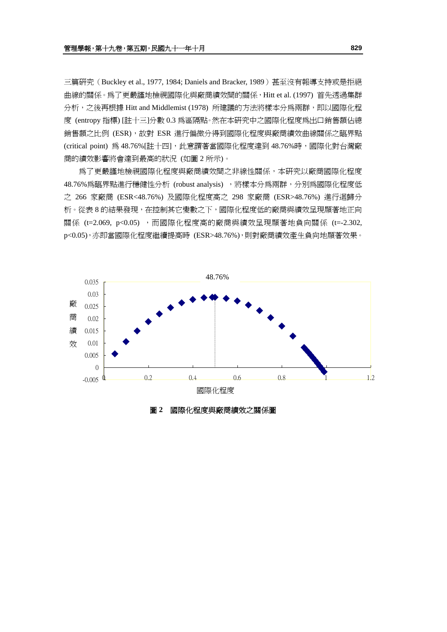三篇研究 (Buckley et al., 1977, 1984; Daniels and Bracker, 1989) 甚至沒有報導支持或是拒絕 曲線的關係。為了更嚴謹地檢視國際化與廠商績效間的關係,Hitt et al. (1997) 首先透過集群 分析,之後再根據 Hitt and Middlemist (1978) 所建議的方法將樣本分爲兩群,即以國際化程 度 (entropy 指標) [註十三]分數 0.3 為區隔點。然在本研究中之國際化程度為出口銷售額佔總 銷售額之比例 (ESR),故對 ESR 進行偏微分得到國際化程度與廠商績效曲線關係之臨界點 (critical point) 為 48.76%[註十四], 此意謂著當國際化程度達到 48.76%時, 國際化對台灣廠 商的績效影響將會達到最高的狀況 (如圖 2 所示)。

為了更嚴謹地檢視國際化程度與廠商績效間之非線性關係,本研究以廠商國際化程度 48.76%為臨界點進行穩健性分析 (robust analysis), 將樣本分為兩群, 分別為國際化程度低 之 266 家廠商 (ESR<48.76%) 及國際化程度高之 298 家廠商 (ESR>48.76%) 進行迴歸分 析。從表 8 的結果發現,在控制其它變數之下,國際化程度低的廠商與績效呈現顯著地正向 關係 (t=2.069, p<0.05) ,而國際化程度高的廠商與績效呈現顯著地負向關係 (t=-2.302, p<0.05),亦即當國際化程度繼續提高時 (ESR>48.76%),則對廠商績效產生負向地顯著效果。



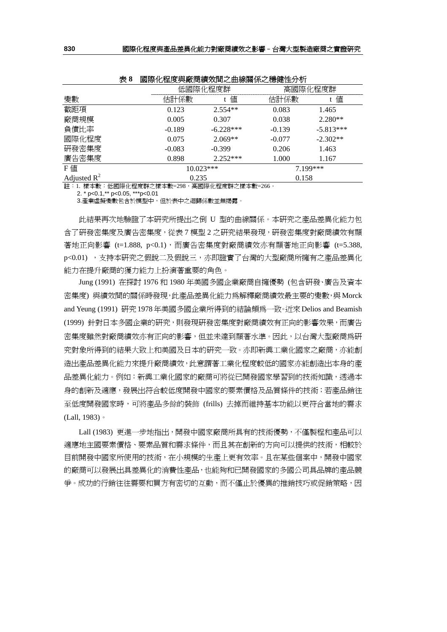| xv             |          |             |          |             |  |  |
|----------------|----------|-------------|----------|-------------|--|--|
|                |          | 低國際化程度群     |          | 高國際化程度群     |  |  |
| 變數             | 估計係數     | 値           | 估計係數     | 值           |  |  |
| 截距項            | 0.123    | $2.554**$   | 0.083    | 1.465       |  |  |
| 廠商規模           | 0.005    | 0.307       | 0.038    | $2.280**$   |  |  |
| 負債比率           | $-0.189$ | $-6.228***$ | $-0.139$ | $-5.813***$ |  |  |
| 國際化程度          | 0.075    | $2.069**$   | $-0.077$ | $-2.302**$  |  |  |
| 研發密集度          | $-0.083$ | $-0.399$    | 0.206    | 1.463       |  |  |
| 廣告密集度          | 0.898    | $2.252***$  | 1.000    | 1.167       |  |  |
| F値             |          | $10.023***$ |          | 7.199***    |  |  |
| Adjusted $R^2$ | 0.235    |             | 0.158    |             |  |  |

表 **8** 國際化程度與廠商績效間之曲線關係之穩健性分析

註:1. 樣本數:低國際化程度群之樣本數=298,高國際化程度群之樣本數=266。

2. \* p<0.1,\*\* p<0.05, \*\*\*p<0.01

3.產業虛擬變數包含於模型中,但於表中之迴歸係數並無揭露。

此結果再次地驗證了本研究所提出之倒 U 型的曲線關係。本研究之產品差異化能力包 含了研發密集度及廣告密集度,從表 7 模型 2 之研究結果發現,研發密集度對廠商績效有顯 著地正向影響 (t=1.888, p<0.1),而廣告密集度對廠商績效亦有顯著地正向影響 (t=5.388, p<0.01), 支持本研究之假說二及假說三, 亦即證實了台灣的大型廠商所擁有之產品差異化 能力在提升廠商的獲力能力上扮演著重要的角色。

Jung (1991) 在探討 1976 和 1980 年美國多國企業廠商自擁優勢 (包含研發、廣告及資本 密集度) 與績效間的關係時發現,此產品差異化能力為解釋廠商績效最主要的變數,與 Morck and Yeung (1991) 研究1978年美國多國企業所得到的結論頗為一致。近來Delios and Beamish (1999) 針對日本多國企業的研究,則發現研發密集度對廠商績效有正向的影響效果,而廣告 密集度雖然對廠商績效亦有正向的影響,但並未達到顯著水準。因此,以台灣大型廠商為研 究對象所得到的結果大致上和美國及日本的研究一致。亦即新興工業化國家之廠商,亦能創 造出產品差異化能力來提升廠商績效,此意謂著工業化程度較低的國家亦能創造出本身的產 品差異化能力。例如:新興工業化國家的廠商可將從已開發國家學習到的技術知識,透過本 身的創新及適應,發展出符合較低度開發中國家的要素價格及品質條件的技術;若產品銷往 至低度開發國家時,可將產品多餘的裝飾 (frills) 去掉而維持基本功能以更符合當地的需求 (Lall, 1983)。

Lall (1983) 更進一步地指出,開發中國家廠商所具有的技術優勢,不僅製程和產品可以 適應地主國要素價格、要素品質和需求條件,而且其在創新的方向可以提供的技術,相較於 目前開發中國家所使用的技術,在小規模的生產上更有效率。且在某些個案中,開發中國家 的廠商可以發展出具差異化的消費性產品,也能夠和已開發國家的多國公司具品牌的產品競 争。成功的行銷往往需要和買方有密切的互動,而不僅止於優異的推銷技巧或促銷策略,因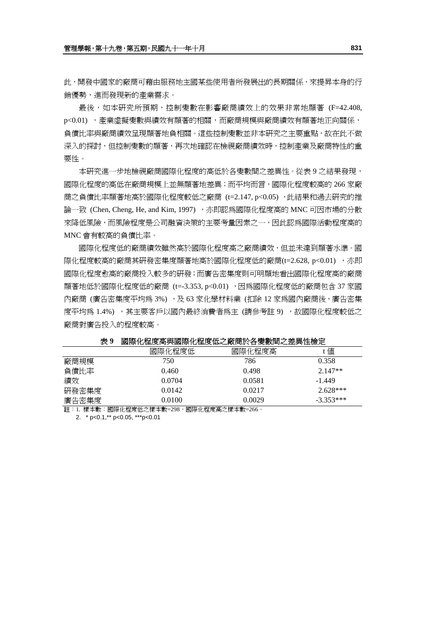此,開發中國家的廠商可藉由服務地主國某些使用者所發展出的長期關係,來提昇本身的行 銷優勢,進而發現新的產業需求。

最後,如本研究所預期,控制變數在影響廠商績效上的效果非常地顯著 (F=42.408, p<0.01) ,產業虛擬變數與績效有顯著的相關,而廠商規模與廠商績效有顯著地正向關係, 負債比率與廠商績效呈現顯著地負相關。這些控制變數並非本研究之主要重點,故在此不做 深入的探討,但控制變數的顯著,再次地確認在檢視廠商績效時,控制產業及廠商特性的重 要性。

本研究進一步地檢視廠商國際化程度的高低於各變數間之差異性。從表 9 之結果發現, 國際化程度的高低在廠商規模上並無顯著地差異;而平均而言,國際化程度較高的 266 家廠 商之負債比率顯著地高於國際化程度較低之廠商 (t=2.147, p<0.05) ,此結果和過去研究的推 論一致 (Chen, Cheng, He, and Kim, 1997), 亦即認爲國際化程度高的 MNC 可因市場的分散 來降低風險,而風險程度是公司融資決策的主要考量因素之一,因此認為國際活動程度高的 MNC 會有較高的負債比率。

國際化程度低的廠商績效雖然高於國際化程度高之廠商績效,但並未達到顯著水準。國 際化程度較高的廠商其研發密集度顯著地高於國際化程度低的廠商(t=2.628, p<0.01) , 亦即 國際化程度愈高的廠商投入較多的研發;而廣告密集度則可明顯地看出國際化程度高的廠商 顯著地低於國際化程度低的廠商 (t=-3.353, p<0.01) , 因為國際化程度低的廠商包含 37 家國 內廠商 (廣告密集度平均爲 3%), 及 63 家化學材料業 (扣除 12 家為國內廠商後,廣告密集 度平均為 1.4%), 其主要客戶以國內最終消費者為主 (請參考註9), 放國際化程度較低之 廠商對廣告投入的程度較高。

|       | 國際化程度低 | 國際化程度高 | 值           |
|-------|--------|--------|-------------|
| 廠商規模  | 750    | 786    | 0.358       |
| 負債比率  | 0.460  | 0.498  | $2.147**$   |
| 績效    | 0.0704 | 0.0581 | $-1.449$    |
| 研發密集度 | 0.0142 | 0.0217 | $2.628***$  |
| 廣告密集度 | 0.0100 | 0.0029 | $-3.353***$ |

表 **9** 國際化程度高與國際化程度低之廠商於各變數間之差異性檢定

註:1. 樣本數:國際化程度低之樣本數=298,國際化程度高之樣本數=266。

2. \* p<0.1,\*\* p<0.05, \*\*\*p<0.01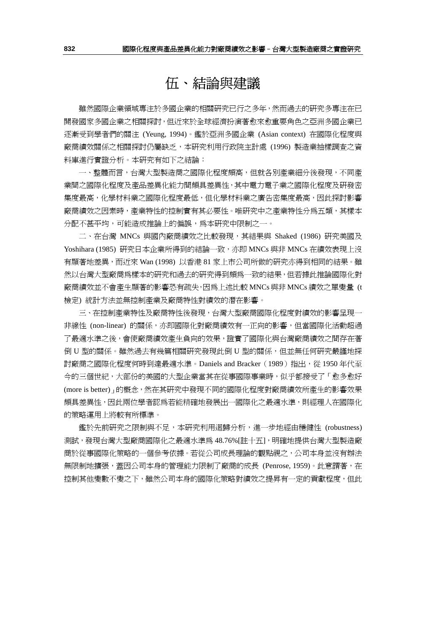## 伍、結論與建議

雖然國際企業領域專注於多國企業的相關研究已行之多年,然而過去的研究多專注在已 開發國家多國企業之相關探討,但近來於全球經濟扮演著愈來愈重要角色之亞洲多國企業已 逐漸受到學者們的關注 (Yeung, 1994)。鑑於亞洲多國企業 (Asian context) 在國際化程度與 廠商績效關係之相關探討仍屬缺乏,本研究利用行政院主計處 (1996) 製造業抽樣調査之資 料庫進行實證分析。本研究有如下之結論:

一、整體而言,台灣大型製造商之國際化程度頗高,但就各別產業細分後發現,不同產 業間之國際化程度及產品差異化能力間頗具差異性,其中電力電子業之國際化程度及研發密 集度最高,化學材料業之價格保持人的標準的標準之下,與民事會有限的研究計 廠商績效之因素時,產業特性的控制實有其必要性。唯研究中之產業特性分為五類,其樣本 分配不甚平均,可能造成推論上的偏誤,為本研究中限制之一。

二、在台灣 MNCs 與國內廠商績效之比較發現,其結果與 Shaked (1986) 研究美國及 Yoshihara (1985) 研究日本企業所得到的結論一致,亦即 MNCs 與非 MNCs 在績效表現上沒 有顯著地差異,而近來 Wan (1998) 以香港 81 家上市公司所做的研究亦得到相同的結果。雖 然以台灣大型廠商為樣本的研究和過去的研究得到頗爲一致的結果,但若據此推論國際化對 廠商績效並不會產生顯著的影響恐有疏失,因為上述比較 MNCs 與非 MNCs 績效之單變量 (t 檢定) 統計方法並無控制產業及廠商特性對績效的潛在影響。

三、在控制產業特性及廠商特性後發現,台灣大型廠商國際化程度對績效的影響呈現一 非線性 (non-linear) 的關係,亦即國際化對廠商績效有一正向的影響,但當國際化活動超過 了最適水準之後,會使廠商績效產生負向的效果,證實了國際化與台灣廠商績效之間存在著 倒 U 型的關係。雖然過去有幾篇相關研究發現此倒 U 型的關係,但並無任何研究嚴謹地探 討廠商之國際化程度何時到達最適水準。Daniels and Bracker(1989)指出,從 1950 年代至 今的三個世紀,大部份的美國的大型企業當其在從事國際事業時,似乎都接受了「愈多愈好 (more is better)」的概念,然在其研究中發現不同的國際化程度對廠商績效所產生的影響效果 頗具差異性,因此兩位學者認為若能精確地發展出一國際化之最適水準,則經理人在國際化 的策略運用上將較有所標準。

鑑於先前研究之限制與不足,本研究利用迴歸分析,進一步地經由穩健性 (robustness) 測試,發現台灣大型廠商國際化之最適水準為 48.76%[註十五],明確地提供台灣大型製造廠 商於從事國際化策略的一個參考依據。若從公司成長理論的觀點視之,公司本身並沒有辦法 無限制地擴張,蓋因公司本身的管理能力限制了廠商的成長 (Penrose, 1959)。此意謂著,在 控制其他變數不變之下,雖然公司本身的國際化策略對績效之提昇有一定的貢獻程度,但此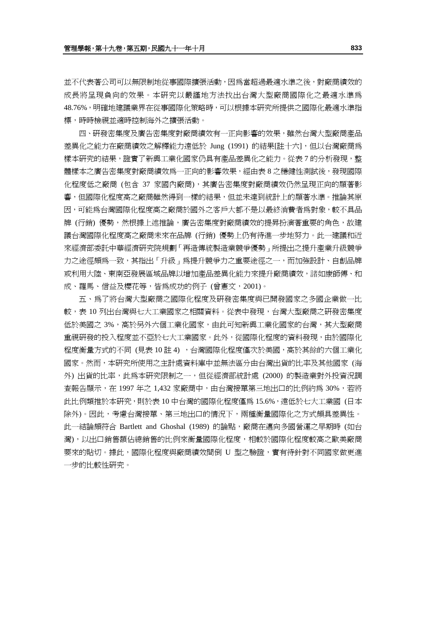並不代表著公司可以無限制地從事國際擴張活動,因為當超過最適水準之後,對廠商績效的 成長將呈現負向的效果。本研究以嚴謹地方法找出台灣大型廠商國際化之最適水準為 48.76%,明確地建議業界在從事國際化策略時,可以根據本研究所提供之國際化最適水準指 標,時時檢視並適時控制海外之擴張活動。

四、研發密集度及廣告密集度對廠商績效有一正向影響的效果,雖然台灣大型廠商產品 差異化之能力在廠商績效之解釋能力遠低於 Jung (1991) 的結果[註十六], 但以台灣廠商為 樣本研究的結果,證實了新興工業化國家仍具有產品差異化之能力。從表 7 的分析發現,整 體樣本之廣告密集度對廠商績效爲一正向的影響效果,經由表 8 之穩健性測試後,發現國際 化程度低之廠商 (包含 37 家國內廠商),其廣告密集度對廠商績效仍然呈現正向的顯著影 響,但國際化程度高之廠商雖然得到一樣的結果,但並未達到統計上的顯著水準。推論其原 因,可能為台灣國際化程度高之廠商於國外之客戶大都不是以最終消費者為對象,較不具品 牌 (行銷) 優勢,然根據上述推論,廣告密集度對廠商績效的提昇扮演著重要的角色,故建 議台灣國際化程度高之廠商未來在品牌 (行銷) 優勢上仍有待進一步地努力。此一建議和近 來經濟部委託中華經濟研究院規劃「再造傳統製造業競爭優勢」所提出之提升產業升級競爭 力之途徑頗爲一致,其指出「升級」為提升競爭力之重要途徑之一,而加強設計、自創品牌 或利用大陸、東南亞發展區域品牌以增加產品差異化能力來提升廠商績效,諸如康師傅、和 成、羅馬、信益及櫻花等,皆為成功的例子 (曾憲文,2001)。

五、為了將台灣大型廠商之國際化程度及研發密集度與已開發國家之多國企業做一比 較,表 10 列出台灣與七大工業國家之相關資料。從表中發現,台灣大型廠商之研發密集度 低於美國之 3%,高於另外六個工業化國家,由此可知新興工業化國家的台灣,其大型廠商 重視研發的投入程度並不亞於七大工業國家。此外,從國際化程度的資料發現,由於國際化 程度衡量方式的不同 (見表 10 註 4) ,台灣國際化程度僅次於美國,高於其餘的六個工業化 國家。然而,本研究所使用之主計處資料庫中並無法區分由台灣出貨的比率及其他國家 (海 外) 出貨的比率,此為本研究限制之一,但從經濟部統計處 (2000) 的製造業對外投資況調 查報告顯示,在 1997 年之 1,432 家廠商中,由台灣接單第三地出口的比例約為 30%,若將 此比例類推於本研究,則於表 10 中台灣的國際化程度僅為 15.6%,遠低於七大工業國 (日本 除外)。因此,考慮台灣接單、第三地出口的情況下,兩種衡量國際化之方式頗具差異性。 此一結論頗符合 Bartlett and Ghoshal (1989) 的論點,廠商在邁向多國營運之早期時 (如台 灣), 以出口銷售額佔總銷售的比例來衡量國際化程度,相較於國際化程度較高之歐美廠商 要來的貼切。據此,國際化程度與廠商績效間倒 U 型之驗證,實有待針對不同國家做更進 一步的比較性研究。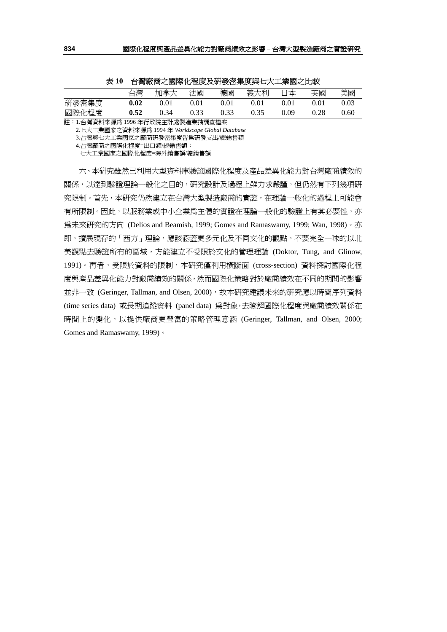| $\sim$ $\sim$ |      | 口将麻肉に図体 凹土文人引攻山木文六 3八工木図にん状 |      |      |      |      |       |      |
|---------------|------|-----------------------------|------|------|------|------|-------|------|
|               | 台灣   | 加拿大                         | 法國   | 德國   | 義大利  | 日本   | 英國    | 美國   |
| 研發密集度         | 0.02 | 0.01                        | 0.01 | 0.01 | 0.01 | 0.01 | O O 1 | 9.03 |
| 國際化程度         | 0.52 | በ 34                        | 0.33 | 0.33 | 0.35 | 0.09 | 0.28  | ).60 |

表 **10** 台灣廠商之國際化程度及研發密集度與七大工業國之比較

註:1.台灣資料來源為 1996 年行政院主計處製造業抽調查檔案

2.七大工業國家之資料來源為 1994 年 *Worldscope Global Database* 

3.台灣與七大工業國家之廠商研發密集度皆為研發支出/總銷售額

七大工業國家之國際化程度=海外銷售額/總銷售額

六、本研究雖然已利用大型資料庫驗證國際化程度及產品差異化能力對台灣廠商績效的 關係,以達到驗證理論一般化之目的,研究設計及過程上雖力求嚴謹,但仍然有下列幾項研 究限制。首先,本研究仍然建立在台灣大型製造廠商的實證,在理論一般化的過程上可能會 有所限制。因此,以服務業或中小企業為主體的實證在理論一般化的驗證上有其必要性,亦 為未來研究的方向 (Delios and Beamish, 1999; Gomes and Ramaswamy, 1999; Wan, 1998)。亦 即,擴展現存的「西方」理論,應該涵蓋更多元化及不同文化的觀點,不要完全一味的以北 美觀點去驗證所有的區域,方能建立不受限於文化的管理理論 (Doktor, Tung, and Glinow, 1991)。再者,受限於資料的限制,本研究僅利用橫斷面 (cross-section) 資料探討國際化程 度與產品差異化能力對廠商績效的關係,然而國際化策略對於廠商績效在不同的期間的影響 並非一致 (Geringer, Tallman, and Olsen, 2000), 故本研究建議未來的研究應以時間序列資料 (time series data) 或長期追蹤資料 (panel data) 為對象,去瞭解國際化程度與廠商績效關係在 時間上的變化,以提供廠商更豐富的策略管理意涵 (Geringer, Tallman, and Olsen, 2000; Gomes and Ramaswamy, 1999)。

 <sup>4.</sup>台灣廠商之國際化程度=出口額/總銷售額;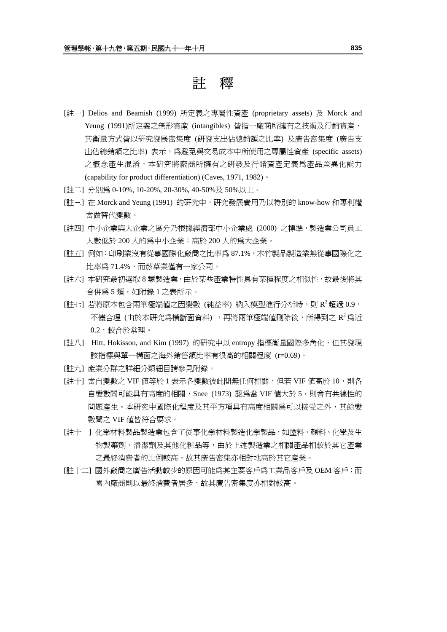註釋

- [註一] Delios and Beamish (1999) 所定義之專屬性資產 (proprietary assets) 及 Morck and Yeung (1991)所定義之無形資產 (intangibles) 皆指一廠商所擁有之技術及行銷資產, 其衡量方式皆以研究發展密集度 (研發支出佔總銷額之比率) 及廣告密集度 (廣告支 出佔總銷額之比率) 表示,為避免與交易成本中所使用之專屬性資產 (specific assets) 之概念產生混淆,本研究將廠商所擁有之研發及行銷資產定義為產品差異化能力 (capability for product differentiation) (Caves, 1971, 1982)。
- [註二] 分別為 0-10%, 10-20%, 20-30%, 40-50%及 50%以上。
- [註三] 在 Morck and Yeung (1991) 的研究中,研究發展費用乃以特別的 know-how 和專利權 當做替代變數。
- [註四] 中小企業與大企業之區分乃根據經濟部中小企業處 (2000) 之標準,製造業公司員工 人數低於 200 人的為中小企業;高於 200 人的為大企業。
- [註五] 例如:印刷業沒有從事國際化廠商之比率為 87.1%,木竹製品製造業無從事國際化之 比率為 71.4%,而菸草業僅有一家公司。
- [註六] 本研究最初選取 8 類製造業,由於某些產業特性具有某種程度之相似性,故最後將其 合併為 5 類,如附錄 1 之表所示。
- [註七] 若將原本包含兩筆極端值之因變數 (純益率) 納入模型進行分析時,則 R<sup>2</sup>超過 0.9, 不儘合理 (由於本研究爲構斷面資料) ,再將兩筆極端值刪除後,所得到之 $R^2$ 爲沂  $0.2$ ,較合於常理。
- [註八] Hitt, Hokisson, and Kim (1997) 的研究中以 entropy 指標衡量國際多角化,但其發現 該指標與單一構面之海外銷售額比率有很高的相關程度 (r=0.69)。
- [註九] 產業分群之詳細分類細目請參見附錄。
- [註十] 當自變數之 VIF 值等於 1 表示各變數彼此間無任何相關,但若 VIF 値高於 10,則各 自變數間可能具有高度的相關,Snee (1973) 認為當 VIF 值大於 5,則會有共線性的 問題產生。本研究中國際化程度及其平方項具有高度相關為可以接受之外,其餘變 數間之 VIF 值皆符合要求。
- [註十一] 化學材料製品製造業包含了從事化學材料製造化學製品,如塗料、顏料、化學及生 物製藥劑、清潔劑及其他化粧品等,由於上述製造業之相關產品相較於其它產業 之最終消費者的比例較高,故其廣告密集亦相對地高於其它產業。
- [註十二] 國外廠商之廣告活動較少的原因可能為其主要客戶為工業品客戶及 OEM 客戶;而 國內廠商則以最終消費者居多,故其廣告密集度亦相對較高。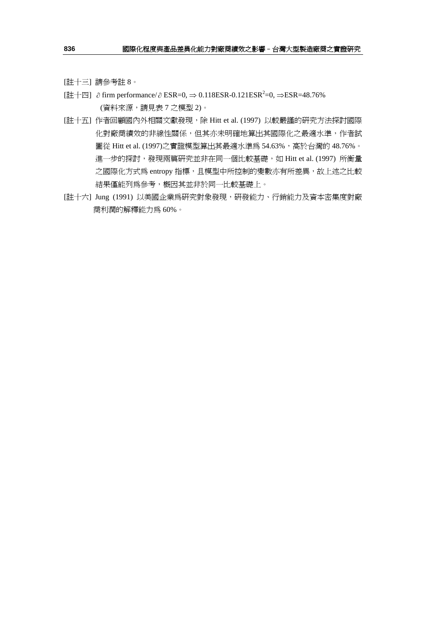[註十三] 請參考註 8。

- [註十四] ∂ firm performance/ $\partial$  ESR=0,  $\Rightarrow$  0.118ESR-0.121ESR<sup>2</sup>=0,  $\Rightarrow$ ESR=48.76% (資料來源,請見表 7 之模型 2)。
- [註十五] 作者回顧國內外相關文獻發現,除 Hitt et al. (1997) 以較嚴謹的研究方法探討國際 化對廠商績效的非線性關係,但其亦未明確地算出其國際化之最適水準,作者試 圖從 Hitt et al. (1997)之實證模型算出其最適水準為 54.63%, 高於台灣的 48.76%。 進一步的探討,發現兩篇研究並非在同一個比較基礎,如 Hitt et al. (1997) 所衡量 之國際化方式為 entropy 指標,且模型中所控制的變數亦有所差異,故上述之比較 結果僅能列為參考,概因其並非於同一比較基礎上。
- [註十六] Jung (1991) 以美國企業為研究對象發現,研發能力、行銷能力及資本密集度對廠 商利潤的解釋能力為 60%。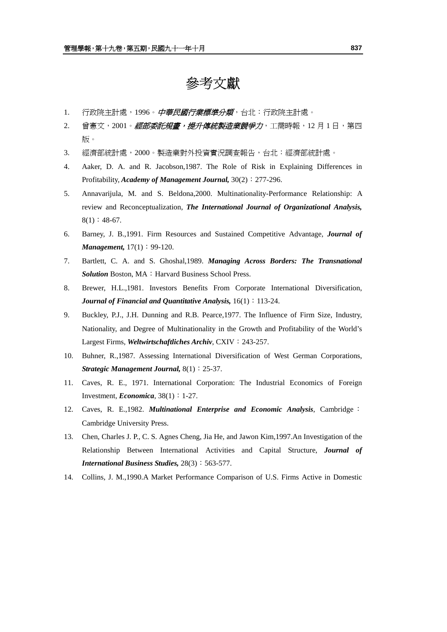## 參考文獻

- 1. 行政院主計處,1996。*中華民國行業標準分類*,台北:行政院主計處。
- 2. 曾憲文,2001。*經部委託規畫,提升傳統製造業競爭力*,工商時報,12 月 1 日,第四 版。
- 3. 經濟部統計處,2000。製造業對外投資實況調查報告,台北:經濟部統計處。
- 4. Aaker, D. A. and R. Jacobson,1987. The Role of Risk in Explaining Differences in Profitability, *Academy of Management Journal*, 30(2): 277-296.
- 5. Annavarijula, M. and S. Beldona,2000. Multinationality-Performance Relationship: A review and Reconceptualization, *The International Journal of Organizational Analysis,*  $8(1): 48-67.$
- 6. Barney, J. B.,1991. Firm Resources and Sustained Competitive Advantage, *Journal of Management,*  $17(1)$ : 99-120.
- 7. Bartlett, C. A. and S. Ghoshal,1989. *Managing Across Borders: The Transnational*  **Solution** Boston, MA: Harvard Business School Press.
- 8. Brewer, H.L.,1981. Investors Benefits From Corporate International Diversification, *Journal of Financial and Ouantitative Analysis,*  $16(1)$ : 113-24.
- 9. Buckley, P.J., J.H. Dunning and R.B. Pearce,1977. The Influence of Firm Size, Industry, Nationality, and Degree of Multinationality in the Growth and Profitability of the World's Largest Firms, *Weltwirtschaftliches Archiv*, CXIV: 243-257.
- 10. Buhner, R.,1987. Assessing International Diversification of West German Corporations, *Strategic Management Journal,* 8(1):25-37.
- 11. Caves, R. E., 1971. International Corporation: The Industrial Economics of Foreign Investment, *Economica*,  $38(1): 1-27$ .
- 12. Caves, R. E.,1982. *Multinational Enterprise and Economic Analysis*, Cambridge: Cambridge University Press.
- 13. Chen, Charles J. P., C. S. Agnes Cheng, Jia He, and Jawon Kim,1997.An Investigation of the Relationship Between International Activities and Capital Structure, *Journal of International Business Studies,* 28(3):563-577.
- 14. Collins, J. M.,1990.A Market Performance Comparison of U.S. Firms Active in Domestic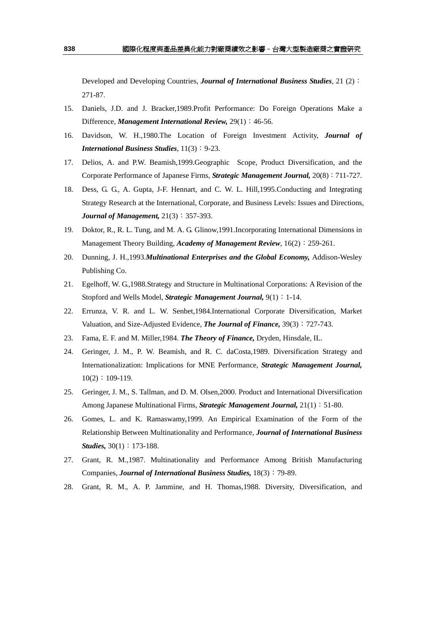Developed and Developing Countries, *Journal of International Business Studies*, 21 (2): 271-87.

- 15. Daniels, J.D. and J. Bracker,1989.Profit Performance: Do Foreign Operations Make a Difference, *Management International Review,* 29(1):46-56.
- 16. Davidson, W. H.,1980.The Location of Foreign Investment Activity, *Journal of International Business Studies*,  $11(3): 9-23$ .
- 17. Delios, A. and P.W. Beamish,1999.Geographic Scope, Product Diversification, and the Corporate Performance of Japanese Firms, *Strategic Management Journal,* 20(8):711-727.
- 18. Dess, G. G., A. Gupta, J-F. Hennart, and C. W. L. Hill,1995.Conducting and Integrating Strategy Research at the International, Corporate, and Business Levels: Issues and Directions, *Journal of Management,*  $21(3)$ : 357-393.
- 19. Doktor, R., R. L. Tung, and M. A. G. Glinow,1991.Incorporating International Dimensions in Management Theory Building, *Academy of Management Review*, 16(2): 259-261.
- 20. Dunning, J. H.,1993.*Multinational Enterprises and the Global Economy,* Addison-Wesley Publishing Co.
- 21. Egelhoff, W. G.,1988.Strategy and Structure in Multinational Corporations: A Revision of the Stopford and Wells Model, *Strategic Management Journal*,  $9(1)$ : 1-14.
- 22. Errunza, V. R. and L. W. Senbet,1984.International Corporate Diversification, Market Valuation, and Size-Adjusted Evidence, *The Journal of Finance,* 39(3):727-743.
- 23. Fama, E. F. and M. Miller,1984. *The Theory of Finance,* Dryden, Hinsdale, IL.
- 24. Geringer, J. M., P. W. Beamish, and R. C. daCosta,1989. Diversification Strategy and Internationalization: Implications for MNE Performance, *Strategic Management Journal,*   $10(2): 109-119.$
- 25. Geringer, J. M., S. Tallman, and D. M. Olsen,2000. Product and International Diversification Among Japanese Multinational Firms, *Strategic Management Journal*,  $21(1)$ : 51-80.
- 26. Gomes, L. and K. Ramaswamy,1999. An Empirical Examination of the Form of the Relationship Between Multinationality and Performance, *Journal of International Business Studies*,  $30(1)$ : 173-188.
- 27. Grant, R. M.,1987. Multinationality and Performance Among British Manufacturing Companies, *Journal of International Business Studies,* 18(3):79-89.
- 28. Grant, R. M., A. P. Jammine, and H. Thomas,1988. Diversity, Diversification, and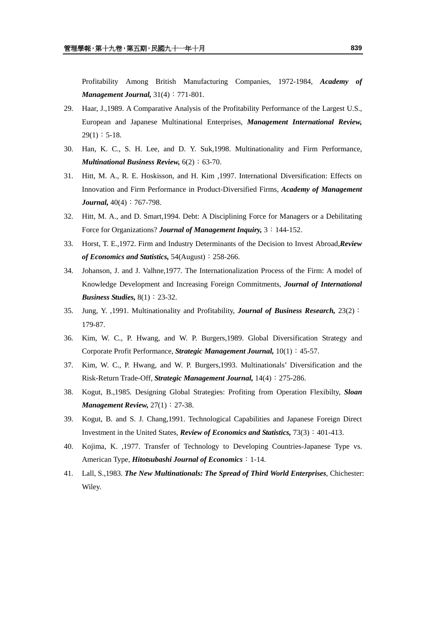Profitability Among British Manufacturing Companies, 1972-1984, *Academy of Management Journal,*  $31(4): 771-801$ .

- 29. Haar, J.,1989. A Comparative Analysis of the Profitability Performance of the Largest U.S., European and Japanese Multinational Enterprises, *Management International Review,*  $29(1): 5-18.$
- 30. Han, K. C., S. H. Lee, and D. Y. Suk,1998. Multinationality and Firm Performance, *Multinational Business Review,* 6(2):63-70.
- 31. Hitt, M. A., R. E. Hoskisson, and H. Kim ,1997. International Diversification: Effects on Innovation and Firm Performance in Product-Diversified Firms, *Academy of Management Journal,*  $40(4)$ : 767-798.
- 32. Hitt, M. A., and D. Smart,1994. Debt: A Disciplining Force for Managers or a Debilitating Force for Organizations? *Journal of Management Inquiry,* 3:144-152.
- 33. Horst, T. E.,1972. Firm and Industry Determinants of the Decision to Invest Abroad,*Review of Economics and Statistics,* 54(August):258-266.
- 34. Johanson, J. and J. Valhne,1977. The Internationalization Process of the Firm: A model of Knowledge Development and Increasing Foreign Commitments, *Journal of International Business Studies,* 8(1): 23-32.
- 35. Jung, Y. ,1991. Multinationality and Profitability, *Journal of Business Research,* 23(2): 179-87.
- 36. Kim, W. C., P. Hwang, and W. P. Burgers,1989. Global Diversification Strategy and Corporate Profit Performance, *Strategic Management Journal,* 10(1):45-57.
- 37. Kim, W. C., P. Hwang, and W. P. Burgers,1993. Multinationals' Diversification and the Risk-Return Trade-Off, *Strategic Management Journal,* 14(4):275-286.
- 38. Kogut, B.,1985. Designing Global Strategies: Profiting from Operation Flexibilty, *Sloan Management Review, 27(1)*: 27-38.
- 39. Kogut, B. and S. J. Chang,1991. Technological Capabilities and Japanese Foreign Direct Investment in the United States, *Review of Economics and Statistics,* 73(3):401-413.
- 40. Kojima, K. ,1977. Transfer of Technology to Developing Countries-Japanese Type vs. American Type, *Hitotsubashi Journal of Economics*:1-14.
- 41. Lall, S.,1983. *The New Multinationals: The Spread of Third World Enterprises*, Chichester: Wiley.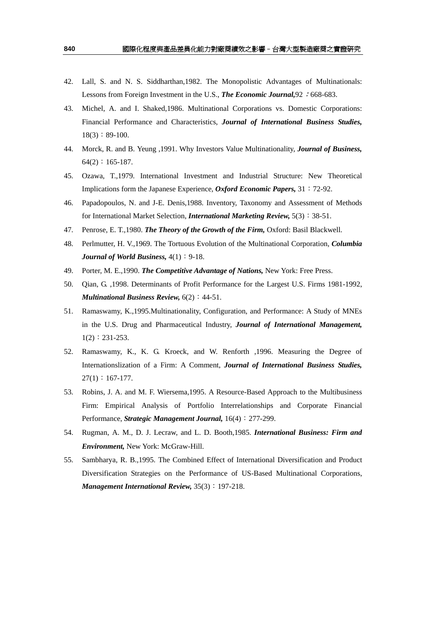- 42. Lall, S. and N. S. Siddharthan,1982. The Monopolistic Advantages of Multinationals: Lessons from Foreign Investment in the U.S., **The Economic Journal**, 92 : 668-683.
- 43. Michel, A. and I. Shaked,1986. Multinational Corporations vs. Domestic Corporations: Financial Performance and Characteristics, *Journal of International Business Studies,*  $18(3):89-100.$
- 44. Morck, R. and B. Yeung ,1991. Why Investors Value Multinationality, *Journal of Business,*   $64(2): 165-187.$
- 45. Ozawa, T.,1979. International Investment and Industrial Structure: New Theoretical Implications form the Japanese Experience, *Oxford Economic Papers,* 31:72-92.
- 46. Papadopoulos, N. and J-E. Denis,1988. Inventory, Taxonomy and Assessment of Methods for International Market Selection, *International Marketing Review,* 5(3):38-51.
- 47. Penrose, E. T.,1980. *The Theory of the Growth of the Firm,* Oxford: Basil Blackwell.
- 48. Perlmutter, H. V.,1969. The Tortuous Evolution of the Multinational Corporation, *Columbia Journal of World Business,*  $4(1)$ : 9-18.
- 49. Porter, M. E.,1990. *The Competitive Advantage of Nations,* New York: Free Press.
- 50. Qian, G. ,1998. Determinants of Profit Performance for the Largest U.S. Firms 1981-1992, *Multinational Business Review,*  $6(2)$ : 44-51.
- 51. Ramaswamy, K.,1995.Multinationality, Configuration, and Performance: A Study of MNEs in the U.S. Drug and Pharmaceutical Industry, *Journal of International Management,*  $1(2): 231-253.$
- 52. Ramaswamy, K., K. G. Kroeck, and W. Renforth ,1996. Measuring the Degree of Internationslization of a Firm: A Comment, *Journal of International Business Studies,*  $27(1): 167-177.$
- 53. Robins, J. A. and M. F. Wiersema,1995. A Resource-Based Approach to the Multibusiness Firm: Empirical Analysis of Portfolio Interrelationships and Corporate Financial Performance, *Strategic Management Journal*,  $16(4): 277-299$ .
- 54. Rugman, A. M., D. J. Lecraw, and L. D. Booth,1985. *International Business: Firm and Environment,* New York: McGraw-Hill.
- 55. Sambharya, R. B.,1995. The Combined Effect of International Diversification and Product Diversification Strategies on the Performance of US-Based Multinational Corporations, *Management International Review,* 35(3):197-218.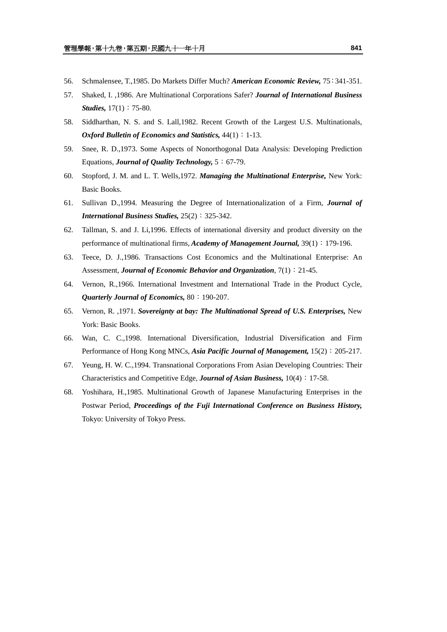- 56. Schmalensee, T.,1985. Do Markets Differ Much? *American Economic Review,* 75:341-351.
- 57. Shaked, I. ,1986. Are Multinational Corporations Safer? *Journal of International Business Studies,* 17(1): 75-80.
- 58. Siddharthan, N. S. and S. Lall,1982. Recent Growth of the Largest U.S. Multinationals, *Oxford Bulletin of Economics and Statistics, 44(1)*: 1-13.
- 59. Snee, R. D.,1973. Some Aspects of Nonorthogonal Data Analysis: Developing Prediction Equations, *Journal of Quality Technology,* 5:67-79.
- 60. Stopford, J. M. and L. T. Wells,1972. *Managing the Multinational Enterprise,* New York: Basic Books.
- 61. Sullivan D.,1994. Measuring the Degree of Internationalization of a Firm, *Journal of International Business Studies, 25(2): 325-342.*
- 62. Tallman, S. and J. Li,1996. Effects of international diversity and product diversity on the performance of multinational firms, *Academy of Management Journal,* 39(1):179-196.
- 63. Teece, D. J.,1986. Transactions Cost Economics and the Multinational Enterprise: An Assessment, *Journal of Economic Behavior and Organization*, 7(1):21-45.
- 64. Vernon, R.,1966. International Investment and International Trade in the Product Cycle, *Quarterly Journal of Economics,* 80:190-207.
- 65. Vernon, R. ,1971. *Sovereignty at bay: The Multinational Spread of U.S. Enterprises,* New York: Basic Books.
- 66. Wan, C. C.,1998. International Diversification, Industrial Diversification and Firm Performance of Hong Kong MNCs, *Asia Pacific Journal of Management,* 15(2):205-217.
- 67. Yeung, H. W. C.,1994. Transnational Corporations From Asian Developing Countries: Their Characteristics and Competitive Edge, *Journal of Asian Business*,  $10(4)$ : 17-58.
- 68. Yoshihara, H.,1985. Multinational Growth of Japanese Manufacturing Enterprises in the Postwar Period, *Proceedings of the Fuji International Conference on Business History,*  Tokyo: University of Tokyo Press.